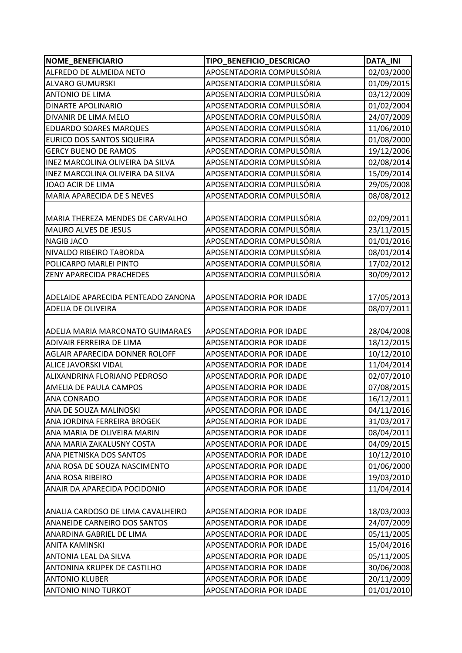| <b>NOME BENEFICIARIO</b>                | TIPO_BENEFICIO_DESCRICAO       | <b>DATA_INI</b> |
|-----------------------------------------|--------------------------------|-----------------|
| ALFREDO DE ALMEIDA NETO                 | APOSENTADORIA COMPULSÓRIA      | 02/03/2000      |
| <b>ALVARO GUMURSKI</b>                  | APOSENTADORIA COMPULSÓRIA      | 01/09/2015      |
| <b>ANTONIO DE LIMA</b>                  | APOSENTADORIA COMPULSÓRIA      | 03/12/2009      |
| <b>DINARTE APOLINARIO</b>               | APOSENTADORIA COMPULSÓRIA      | 01/02/2004      |
| DIVANIR DE LIMA MELO                    | APOSENTADORIA COMPULSÓRIA      | 24/07/2009      |
| <b>EDUARDO SOARES MARQUES</b>           | APOSENTADORIA COMPULSÓRIA      | 11/06/2010      |
| EURICO DOS SANTOS SIQUEIRA              | APOSENTADORIA COMPULSÓRIA      | 01/08/2000      |
| <b>GERCY BUENO DE RAMOS</b>             | APOSENTADORIA COMPULSÓRIA      | 19/12/2006      |
| INEZ MARCOLINA OLIVEIRA DA SILVA        | APOSENTADORIA COMPULSÓRIA      | 02/08/2014      |
| INEZ MARCOLINA OLIVEIRA DA SILVA        | APOSENTADORIA COMPULSÓRIA      | 15/09/2014      |
| JOAO ACIR DE LIMA                       | APOSENTADORIA COMPULSÓRIA      | 29/05/2008      |
| MARIA APARECIDA DE S NEVES              | APOSENTADORIA COMPULSÓRIA      | 08/08/2012      |
|                                         |                                |                 |
| MARIA THEREZA MENDES DE CARVALHO        | APOSENTADORIA COMPULSÓRIA      | 02/09/2011      |
| MAURO ALVES DE JESUS                    | APOSENTADORIA COMPULSÓRIA      | 23/11/2015      |
| <b>NAGIB JACO</b>                       | APOSENTADORIA COMPULSÓRIA      | 01/01/2016      |
| NIVALDO RIBEIRO TABORDA                 | APOSENTADORIA COMPULSÓRIA      | 08/01/2014      |
| POLICARPO MARLEI PINTO                  | APOSENTADORIA COMPULSÓRIA      | 17/02/2012      |
| ZENY APARECIDA PRACHEDES                | APOSENTADORIA COMPULSÓRIA      | 30/09/2012      |
|                                         |                                |                 |
| ADELAIDE APARECIDA PENTEADO ZANONA      | <b>APOSENTADORIA POR IDADE</b> | 17/05/2013      |
| <b>ADELIA DE OLIVEIRA</b>               | APOSENTADORIA POR IDADE        | 08/07/2011      |
|                                         |                                |                 |
| <b>ADELIA MARIA MARCONATO GUIMARAES</b> | APOSENTADORIA POR IDADE        | 28/04/2008      |
| ADIVAIR FERREIRA DE LIMA                | APOSENTADORIA POR IDADE        | 18/12/2015      |
| AGLAIR APARECIDA DONNER ROLOFF          | APOSENTADORIA POR IDADE        | 10/12/2010      |
| <b>ALICE JAVORSKI VIDAL</b>             | APOSENTADORIA POR IDADE        | 11/04/2014      |
| ALIXANDRINA FLORIANO PEDROSO            | APOSENTADORIA POR IDADE        | 02/07/2010      |
| AMELIA DE PAULA CAMPOS                  | APOSENTADORIA POR IDADE        | 07/08/2015      |
| <b>ANA CONRADO</b>                      | APOSENTADORIA POR IDADE        | 16/12/2011      |
| ANA DE SOUZA MALINOSKI                  | APOSENTADORIA POR IDADE        | 04/11/2016      |
| ANA JORDINA FERREIRA BROGEK             | APOSENTADORIA POR IDADE        | 31/03/2017      |
| ANA MARIA DE OLIVEIRA MARIN             | APOSENTADORIA POR IDADE        | 08/04/2011      |
| ANA MARIA ZAKALUSNY COSTA               | APOSENTADORIA POR IDADE        | 04/09/2015      |
| ANA PIETNISKA DOS SANTOS                | APOSENTADORIA POR IDADE        | 10/12/2010      |
| ANA ROSA DE SOUZA NASCIMENTO            | APOSENTADORIA POR IDADE        | 01/06/2000      |
| ANA ROSA RIBEIRO                        | APOSENTADORIA POR IDADE        | 19/03/2010      |
| ANAIR DA APARECIDA POCIDONIO            | APOSENTADORIA POR IDADE        | 11/04/2014      |
|                                         |                                |                 |
| ANALIA CARDOSO DE LIMA CAVALHEIRO       | APOSENTADORIA POR IDADE        | 18/03/2003      |
| ANANEIDE CARNEIRO DOS SANTOS            | APOSENTADORIA POR IDADE        | 24/07/2009      |
| ANARDINA GABRIEL DE LIMA                | APOSENTADORIA POR IDADE        | 05/11/2005      |
| <b>ANITA KAMINSKI</b>                   | APOSENTADORIA POR IDADE        | 15/04/2016      |
| <b>ANTONIA LEAL DA SILVA</b>            | APOSENTADORIA POR IDADE        | 05/11/2005      |
| ANTONINA KRUPEK DE CASTILHO             | APOSENTADORIA POR IDADE        | 30/06/2008      |
| <b>ANTONIO KLUBER</b>                   | APOSENTADORIA POR IDADE        | 20/11/2009      |
| <b>ANTONIO NINO TURKOT</b>              | APOSENTADORIA POR IDADE        | 01/01/2010      |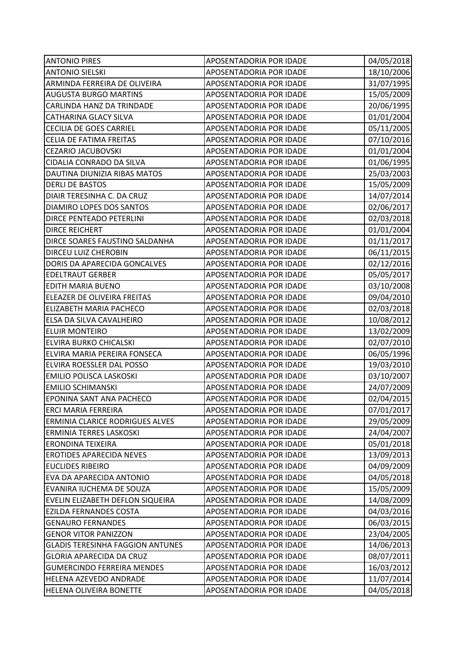| <b>ANTONIO PIRES</b>                    | APOSENTADORIA POR IDADE        | 04/05/2018 |
|-----------------------------------------|--------------------------------|------------|
| <b>ANTONIO SIELSKI</b>                  | APOSENTADORIA POR IDADE        | 18/10/2006 |
| ARMINDA FERREIRA DE OLIVEIRA            | APOSENTADORIA POR IDADE        | 31/07/1995 |
| <b>AUGUSTA BURGO MARTINS</b>            | APOSENTADORIA POR IDADE        | 15/05/2009 |
| CARLINDA HANZ DA TRINDADE               | APOSENTADORIA POR IDADE        | 20/06/1995 |
| <b>CATHARINA GLACY SILVA</b>            | APOSENTADORIA POR IDADE        | 01/01/2004 |
| <b>CECILIA DE GOES CARRIEL</b>          | APOSENTADORIA POR IDADE        | 05/11/2005 |
| CELIA DE FATIMA FREITAS                 | APOSENTADORIA POR IDADE        | 07/10/2016 |
| <b>CEZARIO JACUBOVSKI</b>               | APOSENTADORIA POR IDADE        | 01/01/2004 |
| CIDALIA CONRADO DA SILVA                | APOSENTADORIA POR IDADE        | 01/06/1995 |
| DAUTINA DIUNIZIA RIBAS MATOS            | APOSENTADORIA POR IDADE        | 25/03/2003 |
| <b>DERLI DE BASTOS</b>                  | APOSENTADORIA POR IDADE        | 15/05/2009 |
| DIAIR TERESINHA C. DA CRUZ              | APOSENTADORIA POR IDADE        | 14/07/2014 |
| <b>DIAMIRO LOPES DOS SANTOS</b>         | APOSENTADORIA POR IDADE        | 02/06/2017 |
| DIRCE PENTEADO PETERLINI                | APOSENTADORIA POR IDADE        | 02/03/2018 |
| <b>DIRCE REICHERT</b>                   | APOSENTADORIA POR IDADE        | 01/01/2004 |
| DIRCE SOARES FAUSTINO SALDANHA          | APOSENTADORIA POR IDADE        | 01/11/2017 |
| DIRCEU LUIZ CHEROBIN                    | APOSENTADORIA POR IDADE        | 06/11/2015 |
| DORIS DA APARECIDA GONCALVES            | APOSENTADORIA POR IDADE        | 02/12/2016 |
| <b>EDELTRAUT GERBER</b>                 | APOSENTADORIA POR IDADE        | 05/05/2017 |
| EDITH MARIA BUENO                       | APOSENTADORIA POR IDADE        | 03/10/2008 |
| ELEAZER DE OLIVEIRA FREITAS             | APOSENTADORIA POR IDADE        | 09/04/2010 |
| ELIZABETH MARIA PACHECO                 | APOSENTADORIA POR IDADE        | 02/03/2018 |
| ELSA DA SILVA CAVALHEIRO                | APOSENTADORIA POR IDADE        | 10/08/2012 |
| <b>ELUIR MONTEIRO</b>                   | APOSENTADORIA POR IDADE        | 13/02/2009 |
| ELVIRA BURKO CHICALSKI                  | APOSENTADORIA POR IDADE        | 02/07/2010 |
| ELVIRA MARIA PEREIRA FONSECA            | APOSENTADORIA POR IDADE        | 06/05/1996 |
| ELVIRA ROESSLER DAL POSSO               | APOSENTADORIA POR IDADE        | 19/03/2010 |
| <b>EMILIO POLISCA LASKOSKI</b>          | APOSENTADORIA POR IDADE        | 03/10/2007 |
| <b>EMILIO SCHIMANSKI</b>                | APOSENTADORIA POR IDADE        | 24/07/2009 |
| <b>EPONINA SANT ANA PACHECO</b>         | <b>APOSENTADORIA POR IDADE</b> | 02/04/2015 |
| <b>ERCI MARIA FERREIRA</b>              | APOSENTADORIA POR IDADE        | 07/01/2017 |
| ERMINIA CLARICE RODRIGUES ALVES         | APOSENTADORIA POR IDADE        | 29/05/2009 |
| ERMINIA TERRES LASKOSKI                 | APOSENTADORIA POR IDADE        | 24/04/2007 |
| <b>ERONDINA TEIXEIRA</b>                | APOSENTADORIA POR IDADE        | 05/01/2018 |
| <b>EROTIDES APARECIDA NEVES</b>         | APOSENTADORIA POR IDADE        | 13/09/2013 |
| <b>EUCLIDES RIBEIRO</b>                 | APOSENTADORIA POR IDADE        | 04/09/2009 |
| EVA DA APARECIDA ANTONIO                | APOSENTADORIA POR IDADE        | 04/05/2018 |
| EVANIRA IUCHEMA DE SOUZA                | APOSENTADORIA POR IDADE        | 15/05/2009 |
| EVELIN ELIZABETH DEFLON SIQUEIRA        | APOSENTADORIA POR IDADE        | 14/08/2009 |
| <b>EZILDA FERNANDES COSTA</b>           | APOSENTADORIA POR IDADE        | 04/03/2016 |
| <b>GENAURO FERNANDES</b>                | APOSENTADORIA POR IDADE        | 06/03/2015 |
| <b>GENOR VITOR PANIZZON</b>             | APOSENTADORIA POR IDADE        | 23/04/2005 |
| <b>GLADIS TERESINHA FAGGION ANTUNES</b> | APOSENTADORIA POR IDADE        | 14/06/2013 |
| <b>GLORIA APARECIDA DA CRUZ</b>         | APOSENTADORIA POR IDADE        | 08/07/2011 |
| <b>GUMERCINDO FERREIRA MENDES</b>       | APOSENTADORIA POR IDADE        | 16/03/2012 |
| HELENA AZEVEDO ANDRADE                  | APOSENTADORIA POR IDADE        | 11/07/2014 |
| HELENA OLIVEIRA BONETTE                 | APOSENTADORIA POR IDADE        | 04/05/2018 |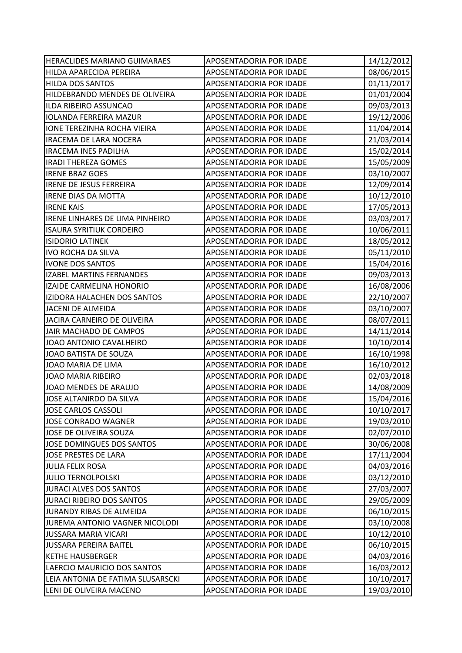| HERACLIDES MARIANO GUIMARAES      | APOSENTADORIA POR IDADE        | 14/12/2012 |
|-----------------------------------|--------------------------------|------------|
| HILDA APARECIDA PEREIRA           | APOSENTADORIA POR IDADE        | 08/06/2015 |
| <b>HILDA DOS SANTOS</b>           | APOSENTADORIA POR IDADE        | 01/11/2017 |
| HILDEBRANDO MENDES DE OLIVEIRA    | APOSENTADORIA POR IDADE        | 01/01/2004 |
| ILDA RIBEIRO ASSUNCAO             | <b>APOSENTADORIA POR IDADE</b> | 09/03/2013 |
| <b>IOLANDA FERREIRA MAZUR</b>     | APOSENTADORIA POR IDADE        | 19/12/2006 |
| IONE TEREZINHA ROCHA VIEIRA       | APOSENTADORIA POR IDADE        | 11/04/2014 |
| <b>IRACEMA DE LARA NOCERA</b>     | APOSENTADORIA POR IDADE        | 21/03/2014 |
| <b>IRACEMA INES PADILHA</b>       | APOSENTADORIA POR IDADE        | 15/02/2014 |
| <b>IRADI THEREZA GOMES</b>        | APOSENTADORIA POR IDADE        | 15/05/2009 |
| <b>IRENE BRAZ GOES</b>            | APOSENTADORIA POR IDADE        | 03/10/2007 |
| <b>IRENE DE JESUS FERREIRA</b>    | APOSENTADORIA POR IDADE        | 12/09/2014 |
| <b>IRENE DIAS DA MOTTA</b>        | APOSENTADORIA POR IDADE        | 10/12/2010 |
| <b>IRENE KAIS</b>                 | APOSENTADORIA POR IDADE        | 17/05/2013 |
| IRENE LINHARES DE LIMA PINHEIRO   | APOSENTADORIA POR IDADE        | 03/03/2017 |
| <b>ISAURA SYRITIUK CORDEIRO</b>   | APOSENTADORIA POR IDADE        | 10/06/2011 |
| <b>ISIDORIO LATINEK</b>           | APOSENTADORIA POR IDADE        | 18/05/2012 |
| <b>IVO ROCHA DA SILVA</b>         | APOSENTADORIA POR IDADE        | 05/11/2010 |
| <b>IVONE DOS SANTOS</b>           | APOSENTADORIA POR IDADE        | 15/04/2016 |
| <b>IZABEL MARTINS FERNANDES</b>   | APOSENTADORIA POR IDADE        | 09/03/2013 |
| IZAIDE CARMELINA HONORIO          | APOSENTADORIA POR IDADE        | 16/08/2006 |
| IZIDORA HALACHEN DOS SANTOS       | APOSENTADORIA POR IDADE        | 22/10/2007 |
| JACENI DE ALMEIDA                 | APOSENTADORIA POR IDADE        | 03/10/2007 |
| JACIRA CARNEIRO DE OLIVEIRA       | APOSENTADORIA POR IDADE        | 08/07/2011 |
| JAIR MACHADO DE CAMPOS            | APOSENTADORIA POR IDADE        | 14/11/2014 |
| JOAO ANTONIO CAVALHEIRO           | APOSENTADORIA POR IDADE        | 10/10/2014 |
| JOAO BATISTA DE SOUZA             | APOSENTADORIA POR IDADE        | 16/10/1998 |
| JOAO MARIA DE LIMA                | APOSENTADORIA POR IDADE        | 16/10/2012 |
| <b>JOAO MARIA RIBEIRO</b>         | APOSENTADORIA POR IDADE        | 02/03/2018 |
| JOAO MENDES DE ARAUJO             | APOSENTADORIA POR IDADE        | 14/08/2009 |
| JOSE ALTANIRDO DA SILVA           | APOSENTADORIA POR IDADE        | 15/04/2016 |
| <b>JOSE CARLOS CASSOLI</b>        | APOSENTADORIA POR IDADE        | 10/10/2017 |
| JOSE CONRADO WAGNER               | APOSENTADORIA POR IDADE        | 19/03/2010 |
| JOSE DE OLIVEIRA SOUZA            | APOSENTADORIA POR IDADE        | 02/07/2010 |
| JOSE DOMINGUES DOS SANTOS         | APOSENTADORIA POR IDADE        | 30/06/2008 |
| <b>JOSE PRESTES DE LARA</b>       | APOSENTADORIA POR IDADE        | 17/11/2004 |
| <b>JULIA FELIX ROSA</b>           | APOSENTADORIA POR IDADE        | 04/03/2016 |
| <b>JULIO TERNOLPOLSKI</b>         | APOSENTADORIA POR IDADE        | 03/12/2010 |
| <b>JURACI ALVES DOS SANTOS</b>    | APOSENTADORIA POR IDADE        | 27/03/2007 |
| <b>JURACI RIBEIRO DOS SANTOS</b>  | APOSENTADORIA POR IDADE        | 29/05/2009 |
| JURANDY RIBAS DE ALMEIDA          | APOSENTADORIA POR IDADE        | 06/10/2015 |
| JUREMA ANTONIO VAGNER NICOLODI    | APOSENTADORIA POR IDADE        | 03/10/2008 |
| <b>JUSSARA MARIA VICARI</b>       | APOSENTADORIA POR IDADE        | 10/12/2010 |
| <b>JUSSARA PEREIRA BAITEL</b>     | APOSENTADORIA POR IDADE        | 06/10/2015 |
| <b>KETHE HAUSBERGER</b>           | APOSENTADORIA POR IDADE        | 04/03/2016 |
| LAERCIO MAURICIO DOS SANTOS       | APOSENTADORIA POR IDADE        | 16/03/2012 |
| LEIA ANTONIA DE FATIMA SLUSARSCKI | APOSENTADORIA POR IDADE        | 10/10/2017 |
| LENI DE OLIVEIRA MACENO           | APOSENTADORIA POR IDADE        | 19/03/2010 |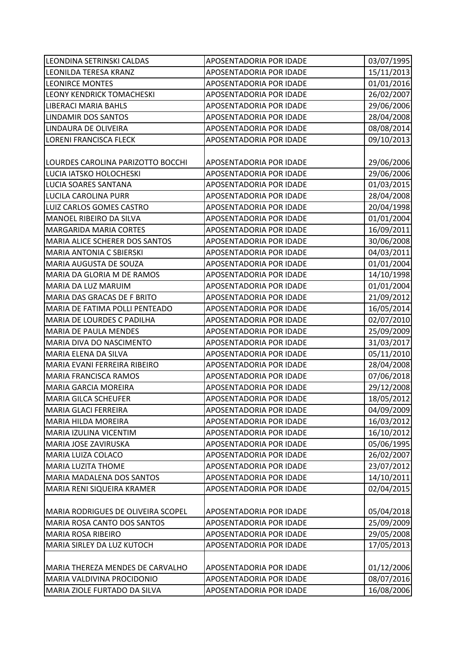| LEONDINA SETRINSKI CALDAS          | APOSENTADORIA POR IDADE        | 03/07/1995 |
|------------------------------------|--------------------------------|------------|
| LEONILDA TERESA KRANZ              | APOSENTADORIA POR IDADE        | 15/11/2013 |
| <b>LEONIRCE MONTES</b>             | APOSENTADORIA POR IDADE        | 01/01/2016 |
| LEONY KENDRICK TOMACHESKI          | APOSENTADORIA POR IDADE        | 26/02/2007 |
| <b>LIBERACI MARIA BAHLS</b>        | APOSENTADORIA POR IDADE        | 29/06/2006 |
| LINDAMIR DOS SANTOS                | APOSENTADORIA POR IDADE        | 28/04/2008 |
| LINDAURA DE OLIVEIRA               | APOSENTADORIA POR IDADE        | 08/08/2014 |
| <b>LORENI FRANCISCA FLECK</b>      | APOSENTADORIA POR IDADE        | 09/10/2013 |
|                                    |                                |            |
| LOURDES CAROLINA PARIZOTTO BOCCHI  | APOSENTADORIA POR IDADE        | 29/06/2006 |
| LUCIA IATSKO HOLOCHESKI            | APOSENTADORIA POR IDADE        | 29/06/2006 |
| LUCIA SOARES SANTANA               | APOSENTADORIA POR IDADE        | 01/03/2015 |
| LUCILA CAROLINA PURR               | APOSENTADORIA POR IDADE        | 28/04/2008 |
| LUIZ CARLOS GOMES CASTRO           | APOSENTADORIA POR IDADE        | 20/04/1998 |
| MANOEL RIBEIRO DA SILVA            | APOSENTADORIA POR IDADE        | 01/01/2004 |
| MARGARIDA MARIA CORTES             | APOSENTADORIA POR IDADE        | 16/09/2011 |
| MARIA ALICE SCHERER DOS SANTOS     | APOSENTADORIA POR IDADE        | 30/06/2008 |
| MARIA ANTONIA C SBIERSKI           | APOSENTADORIA POR IDADE        | 04/03/2011 |
| MARIA AUGUSTA DE SOUZA             | APOSENTADORIA POR IDADE        | 01/01/2004 |
| MARIA DA GLORIA M DE RAMOS         | APOSENTADORIA POR IDADE        | 14/10/1998 |
| MARIA DA LUZ MARUIM                | APOSENTADORIA POR IDADE        | 01/01/2004 |
| MARIA DAS GRACAS DE F BRITO        | APOSENTADORIA POR IDADE        | 21/09/2012 |
| MARIA DE FATIMA POLLI PENTEADO     | APOSENTADORIA POR IDADE        | 16/05/2014 |
| MARIA DE LOURDES C PADILHA         | APOSENTADORIA POR IDADE        | 02/07/2010 |
| MARIA DE PAULA MENDES              | APOSENTADORIA POR IDADE        | 25/09/2009 |
| MARIA DIVA DO NASCIMENTO           | APOSENTADORIA POR IDADE        | 31/03/2017 |
| MARIA ELENA DA SILVA               | APOSENTADORIA POR IDADE        | 05/11/2010 |
| MARIA EVANI FERREIRA RIBEIRO       | APOSENTADORIA POR IDADE        | 28/04/2008 |
| <b>MARIA FRANCISCA RAMOS</b>       | APOSENTADORIA POR IDADE        | 07/06/2018 |
| MARIA GARCIA MOREIRA               | APOSENTADORIA POR IDADE        | 29/12/2008 |
| <b>MARIA GILCA SCHEUFER</b>        | <b>APOSENTADORIA POR IDADE</b> | 18/05/2012 |
| <b>MARIA GLACI FERREIRA</b>        | APOSENTADORIA POR IDADE        | 04/09/2009 |
| MARIA HILDA MOREIRA                | APOSENTADORIA POR IDADE        | 16/03/2012 |
| MARIA IZULINA VICENTIM             | APOSENTADORIA POR IDADE        | 16/10/2012 |
| MARIA JOSE ZAVIRUSKA               | APOSENTADORIA POR IDADE        | 05/06/1995 |
| MARIA LUIZA COLACO                 | APOSENTADORIA POR IDADE        | 26/02/2007 |
| MARIA LUZITA THOME                 | APOSENTADORIA POR IDADE        | 23/07/2012 |
| MARIA MADALENA DOS SANTOS          | APOSENTADORIA POR IDADE        | 14/10/2011 |
| MARIA RENI SIQUEIRA KRAMER         | APOSENTADORIA POR IDADE        | 02/04/2015 |
|                                    |                                |            |
| MARIA RODRIGUES DE OLIVEIRA SCOPEL | APOSENTADORIA POR IDADE        | 05/04/2018 |
| MARIA ROSA CANTO DOS SANTOS        | APOSENTADORIA POR IDADE        | 25/09/2009 |
| MARIA ROSA RIBEIRO                 | APOSENTADORIA POR IDADE        | 29/05/2008 |
| MARIA SIRLEY DA LUZ KUTOCH         | APOSENTADORIA POR IDADE        | 17/05/2013 |
|                                    |                                |            |
| MARIA THEREZA MENDES DE CARVALHO   | APOSENTADORIA POR IDADE        | 01/12/2006 |
| MARIA VALDIVINA PROCIDONIO         | APOSENTADORIA POR IDADE        | 08/07/2016 |
| MARIA ZIOLE FURTADO DA SILVA       | APOSENTADORIA POR IDADE        | 16/08/2006 |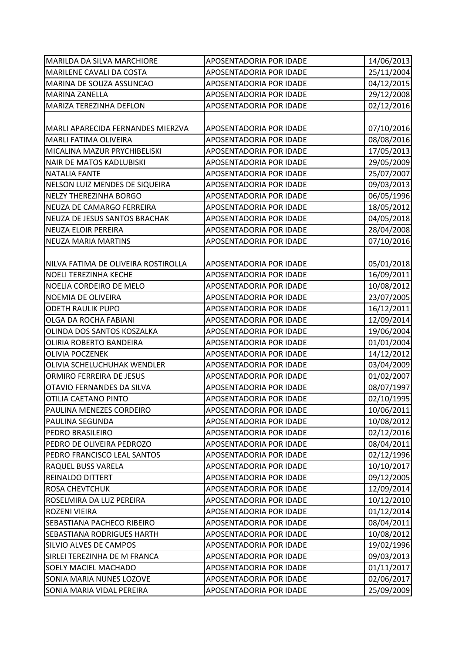| <b>MARILDA DA SILVA MARCHIORE</b>   | APOSENTADORIA POR IDADE | 14/06/2013 |
|-------------------------------------|-------------------------|------------|
| MARILENE CAVALI DA COSTA            | APOSENTADORIA POR IDADE | 25/11/2004 |
| MARINA DE SOUZA ASSUNCAO            | APOSENTADORIA POR IDADE | 04/12/2015 |
| <b>MARINA ZANELLA</b>               | APOSENTADORIA POR IDADE | 29/12/2008 |
| MARIZA TEREZINHA DEFLON             | APOSENTADORIA POR IDADE | 02/12/2016 |
|                                     |                         |            |
| MARLI APARECIDA FERNANDES MIERZVA   | APOSENTADORIA POR IDADE | 07/10/2016 |
| <b>MARLI FATIMA OLIVEIRA</b>        | APOSENTADORIA POR IDADE | 08/08/2016 |
| MICALINA MAZUR PRYCHIBELISKI        | APOSENTADORIA POR IDADE | 17/05/2013 |
| NAIR DE MATOS KADLUBISKI            | APOSENTADORIA POR IDADE | 29/05/2009 |
| <b>NATALIA FANTE</b>                | APOSENTADORIA POR IDADE | 25/07/2007 |
| NELSON LUIZ MENDES DE SIQUEIRA      | APOSENTADORIA POR IDADE | 09/03/2013 |
| <b>NELZY THEREZINHA BORGO</b>       | APOSENTADORIA POR IDADE | 06/05/1996 |
| NEUZA DE CAMARGO FERREIRA           | APOSENTADORIA POR IDADE | 18/05/2012 |
| NEUZA DE JESUS SANTOS BRACHAK       | APOSENTADORIA POR IDADE | 04/05/2018 |
| <b>NEUZA ELOIR PEREIRA</b>          | APOSENTADORIA POR IDADE | 28/04/2008 |
| <b>NEUZA MARIA MARTINS</b>          | APOSENTADORIA POR IDADE | 07/10/2016 |
|                                     |                         |            |
| NILVA FATIMA DE OLIVEIRA ROSTIROLLA | APOSENTADORIA POR IDADE | 05/01/2018 |
| <b>NOELI TEREZINHA KECHE</b>        | APOSENTADORIA POR IDADE | 16/09/2011 |
| NOELIA CORDEIRO DE MELO             | APOSENTADORIA POR IDADE | 10/08/2012 |
| NOEMIA DE OLIVEIRA                  | APOSENTADORIA POR IDADE | 23/07/2005 |
| <b>ODETH RAULIK PUPO</b>            | APOSENTADORIA POR IDADE | 16/12/2011 |
| OLGA DA ROCHA FABIANI               | APOSENTADORIA POR IDADE | 12/09/2014 |
| OLINDA DOS SANTOS KOSZALKA          | APOSENTADORIA POR IDADE | 19/06/2004 |
| OLIRIA ROBERTO BANDEIRA             | APOSENTADORIA POR IDADE | 01/01/2004 |
| <b>OLIVIA POCZENEK</b>              | APOSENTADORIA POR IDADE | 14/12/2012 |
| OLIVIA SCHELUCHUHAK WENDLER         | APOSENTADORIA POR IDADE | 03/04/2009 |
| ORMIRO FERREIRA DE JESUS            | APOSENTADORIA POR IDADE | 01/02/2007 |
| OTAVIO FERNANDES DA SILVA           | APOSENTADORIA POR IDADE | 08/07/1997 |
| <b>OTILIA CAETANO PINTO</b>         | APOSENTADORIA POR IDADE | 02/10/1995 |
| PAULINA MENEZES CORDEIRO            | APOSENTADORIA POR IDADE | 10/06/2011 |
| PAULINA SEGUNDA                     | APOSENTADORIA POR IDADE | 10/08/2012 |
| PEDRO BRASILEIRO                    | APOSENTADORIA POR IDADE | 02/12/2016 |
| PEDRO DE OLIVEIRA PEDROZO           | APOSENTADORIA POR IDADE | 08/04/2011 |
| PEDRO FRANCISCO LEAL SANTOS         | APOSENTADORIA POR IDADE | 02/12/1996 |
| RAQUEL BUSS VARELA                  | APOSENTADORIA POR IDADE | 10/10/2017 |
| <b>REINALDO DITTERT</b>             | APOSENTADORIA POR IDADE | 09/12/2005 |
| <b>ROSA CHEVTCHUK</b>               | APOSENTADORIA POR IDADE | 12/09/2014 |
| ROSELMIRA DA LUZ PEREIRA            | APOSENTADORIA POR IDADE | 10/12/2010 |
| ROZENI VIEIRA                       | APOSENTADORIA POR IDADE | 01/12/2014 |
| SEBASTIANA PACHECO RIBEIRO          | APOSENTADORIA POR IDADE | 08/04/2011 |
| <b>SEBASTIANA RODRIGUES HARTH</b>   | APOSENTADORIA POR IDADE | 10/08/2012 |
| SILVIO ALVES DE CAMPOS              | APOSENTADORIA POR IDADE | 19/02/1996 |
| SIRLEI TEREZINHA DE M FRANCA        | APOSENTADORIA POR IDADE | 09/03/2013 |
| <b>SOELY MACIEL MACHADO</b>         | APOSENTADORIA POR IDADE | 01/11/2017 |
| SONIA MARIA NUNES LOZOVE            | APOSENTADORIA POR IDADE | 02/06/2017 |
| SONIA MARIA VIDAL PEREIRA           | APOSENTADORIA POR IDADE | 25/09/2009 |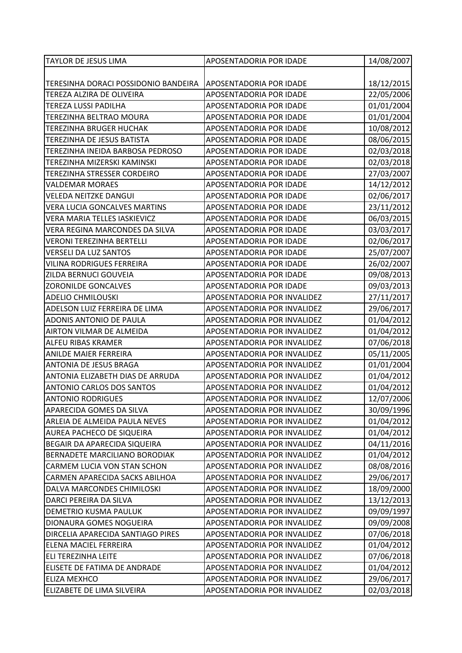| <b>TAYLOR DE JESUS LIMA</b>          | APOSENTADORIA POR IDADE     | 14/08/2007 |
|--------------------------------------|-----------------------------|------------|
|                                      |                             |            |
| TERESINHA DORACI POSSIDONIO BANDEIRA | APOSENTADORIA POR IDADE     | 18/12/2015 |
| TEREZA ALZIRA DE OLIVEIRA            | APOSENTADORIA POR IDADE     | 22/05/2006 |
| TEREZA LUSSI PADILHA                 | APOSENTADORIA POR IDADE     | 01/01/2004 |
| TEREZINHA BELTRAO MOURA              | APOSENTADORIA POR IDADE     | 01/01/2004 |
| <b>TEREZINHA BRUGER HUCHAK</b>       | APOSENTADORIA POR IDADE     | 10/08/2012 |
| TEREZINHA DE JESUS BATISTA           | APOSENTADORIA POR IDADE     | 08/06/2015 |
| TEREZINHA INEIDA BARBOSA PEDROSO     | APOSENTADORIA POR IDADE     | 02/03/2018 |
| TEREZINHA MIZERSKI KAMINSKI          | APOSENTADORIA POR IDADE     | 02/03/2018 |
| TEREZINHA STRESSER CORDEIRO          | APOSENTADORIA POR IDADE     | 27/03/2007 |
| <b>VALDEMAR MORAES</b>               | APOSENTADORIA POR IDADE     | 14/12/2012 |
| <b>VELEDA NEITZKE DANGUI</b>         | APOSENTADORIA POR IDADE     | 02/06/2017 |
| <b>VERA LUCIA GONCALVES MARTINS</b>  | APOSENTADORIA POR IDADE     | 23/11/2012 |
| <b>VERA MARIA TELLES IASKIEVICZ</b>  | APOSENTADORIA POR IDADE     | 06/03/2015 |
| VERA REGINA MARCONDES DA SILVA       | APOSENTADORIA POR IDADE     | 03/03/2017 |
| <b>VERONI TEREZINHA BERTELLI</b>     | APOSENTADORIA POR IDADE     | 02/06/2017 |
| <b>VERSELI DA LUZ SANTOS</b>         | APOSENTADORIA POR IDADE     | 25/07/2007 |
| <b>VILINA RODRIGUES FERREIRA</b>     | APOSENTADORIA POR IDADE     | 26/02/2007 |
| ZILDA BERNUCI GOUVEIA                | APOSENTADORIA POR IDADE     | 09/08/2013 |
| <b>ZORONILDE GONCALVES</b>           | APOSENTADORIA POR IDADE     | 09/03/2013 |
| <b>ADELIO CHMILOUSKI</b>             | APOSENTADORIA POR INVALIDEZ | 27/11/2017 |
| ADELSON LUIZ FERREIRA DE LIMA        | APOSENTADORIA POR INVALIDEZ | 29/06/2017 |
| ADONIS ANTONIO DE PAULA              | APOSENTADORIA POR INVALIDEZ | 01/04/2012 |
| AIRTON VILMAR DE ALMEIDA             | APOSENTADORIA POR INVALIDEZ | 01/04/2012 |
| <b>ALFEU RIBAS KRAMER</b>            | APOSENTADORIA POR INVALIDEZ | 07/06/2018 |
| <b>ANILDE MAIER FERREIRA</b>         | APOSENTADORIA POR INVALIDEZ | 05/11/2005 |
| <b>ANTONIA DE JESUS BRAGA</b>        | APOSENTADORIA POR INVALIDEZ | 01/01/2004 |
| ANTONIA ELIZABETH DIAS DE ARRUDA     | APOSENTADORIA POR INVALIDEZ | 01/04/2012 |
| <b>ANTONIO CARLOS DOS SANTOS</b>     | APOSENTADORIA POR INVALIDEZ | 01/04/2012 |
| <b>ANTONIO RODRIGUES</b>             | APOSENTADORIA POR INVALIDEZ | 12/07/2006 |
| APARECIDA GOMES DA SILVA             | APOSENTADORIA POR INVALIDEZ | 30/09/1996 |
| ARLEIA DE ALMEIDA PAULA NEVES        | APOSENTADORIA POR INVALIDEZ | 01/04/2012 |
| <b>AUREA PACHECO DE SIQUEIRA</b>     | APOSENTADORIA POR INVALIDEZ | 01/04/2012 |
| BEGAIR DA APARECIDA SIQUEIRA         | APOSENTADORIA POR INVALIDEZ | 04/11/2016 |
| BERNADETE MARCILIANO BORODIAK        | APOSENTADORIA POR INVALIDEZ | 01/04/2012 |
| CARMEM LUCIA VON STAN SCHON          | APOSENTADORIA POR INVALIDEZ | 08/08/2016 |
| CARMEN APARECIDA SACKS ABILHOA       | APOSENTADORIA POR INVALIDEZ | 29/06/2017 |
| DALVA MARCONDES CHIMILOSKI           | APOSENTADORIA POR INVALIDEZ | 18/09/2000 |
| DARCI PEREIRA DA SILVA               | APOSENTADORIA POR INVALIDEZ | 13/12/2013 |
| DEMETRIO KUSMA PAULUK                | APOSENTADORIA POR INVALIDEZ | 09/09/1997 |
| DIONAURA GOMES NOGUEIRA              | APOSENTADORIA POR INVALIDEZ | 09/09/2008 |
| DIRCELIA APARECIDA SANTIAGO PIRES    | APOSENTADORIA POR INVALIDEZ | 07/06/2018 |
| <b>ELENA MACIEL FERREIRA</b>         | APOSENTADORIA POR INVALIDEZ | 01/04/2012 |
| <b>ELI TEREZINHA LEITE</b>           | APOSENTADORIA POR INVALIDEZ | 07/06/2018 |
| ELISETE DE FATIMA DE ANDRADE         | APOSENTADORIA POR INVALIDEZ | 01/04/2012 |
| <b>ELIZA MEXHCO</b>                  | APOSENTADORIA POR INVALIDEZ | 29/06/2017 |
| ELIZABETE DE LIMA SILVEIRA           | APOSENTADORIA POR INVALIDEZ | 02/03/2018 |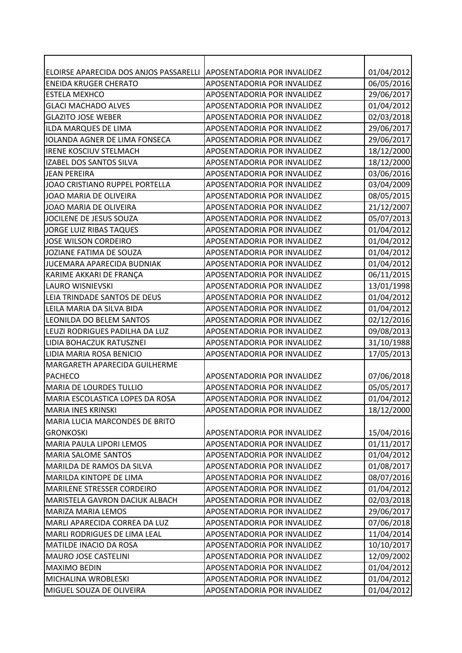| ELOIRSE APARECIDA DOS ANJOS PASSARELLI | APOSENTADORIA POR INVALIDEZ        | 01/04/2012 |
|----------------------------------------|------------------------------------|------------|
| <b>ENEIDA KRUGER CHERATO</b>           | APOSENTADORIA POR INVALIDEZ        | 06/05/2016 |
| <b>ESTELA MEXHCO</b>                   | APOSENTADORIA POR INVALIDEZ        | 29/06/2017 |
| <b>GLACI MACHADO ALVES</b>             | APOSENTADORIA POR INVALIDEZ        | 01/04/2012 |
| <b>GLAZITO JOSE WEBER</b>              | APOSENTADORIA POR INVALIDEZ        | 02/03/2018 |
| ILDA MARQUES DE LIMA                   | APOSENTADORIA POR INVALIDEZ        | 29/06/2017 |
| <b>IOLANDA AGNER DE LIMA FONSECA</b>   | APOSENTADORIA POR INVALIDEZ        | 29/06/2017 |
| <b>IRENE KOSCIUV STELMACH</b>          | APOSENTADORIA POR INVALIDEZ        | 18/12/2000 |
| IZABEL DOS SANTOS SILVA                | APOSENTADORIA POR INVALIDEZ        | 18/12/2000 |
| <b>JEAN PEREIRA</b>                    | APOSENTADORIA POR INVALIDEZ        | 03/06/2016 |
| JOAO CRISTIANO RUPPEL PORTELLA         | APOSENTADORIA POR INVALIDEZ        | 03/04/2009 |
| JOAO MARIA DE OLIVEIRA                 | APOSENTADORIA POR INVALIDEZ        | 08/05/2015 |
| JOAO MARIA DE OLIVEIRA                 | APOSENTADORIA POR INVALIDEZ        | 21/12/2007 |
| JOCILENE DE JESUS SOUZA                | APOSENTADORIA POR INVALIDEZ        | 05/07/2013 |
| JORGE LUIZ RIBAS TAQUES                | APOSENTADORIA POR INVALIDEZ        | 01/04/2012 |
| <b>JOSE WILSON CORDEIRO</b>            | APOSENTADORIA POR INVALIDEZ        | 01/04/2012 |
| JOZIANE FATIMA DE SOUZA                | APOSENTADORIA POR INVALIDEZ        | 01/04/2012 |
| JUCEMARA APARECIDA BUDNIAK             | APOSENTADORIA POR INVALIDEZ        | 01/04/2012 |
| KARIME AKKARI DE FRANÇA                | APOSENTADORIA POR INVALIDEZ        | 06/11/2015 |
| <b>LAURO WISNIEVSKI</b>                | APOSENTADORIA POR INVALIDEZ        | 13/01/1998 |
| LEIA TRINDADE SANTOS DE DEUS           | APOSENTADORIA POR INVALIDEZ        | 01/04/2012 |
| LEILA MARIA DA SILVA BIDA              | APOSENTADORIA POR INVALIDEZ        | 01/04/2012 |
| LEONILDA DO BELEM SANTOS               | APOSENTADORIA POR INVALIDEZ        | 02/12/2016 |
| LEUZI RODRIGUES PADILHA DA LUZ         | APOSENTADORIA POR INVALIDEZ        | 09/08/2013 |
| LIDIA BOHACZUK RATUSZNEI               | APOSENTADORIA POR INVALIDEZ        | 31/10/1988 |
| LIDIA MARIA ROSA BENICIO               | APOSENTADORIA POR INVALIDEZ        | 17/05/2013 |
| MARGARETH APARECIDA GUILHERME          |                                    |            |
| <b>PACHECO</b>                         | APOSENTADORIA POR INVALIDEZ        | 07/06/2018 |
| MARIA DE LOURDES TULLIO                | <b>APOSENTADORIA POR INVALIDEZ</b> | 05/05/2017 |
| MARIA ESCOLASTICA LOPES DA ROSA        | APOSENTADORIA POR INVALIDEZ        | 01/04/2012 |
| <b>MARIA INES KRINSKI</b>              | APOSENTADORIA POR INVALIDEZ        | 18/12/2000 |
| <b>MARIA LUCIA MARCONDES DE BRITO</b>  |                                    |            |
| <b>GRONKOSKI</b>                       | APOSENTADORIA POR INVALIDEZ        | 15/04/2016 |
| <b>MARIA PAULA LIPORI LEMOS</b>        | APOSENTADORIA POR INVALIDEZ        | 01/11/2017 |
| <b>MARIA SALOME SANTOS</b>             | APOSENTADORIA POR INVALIDEZ        | 01/04/2012 |
| MARILDA DE RAMOS DA SILVA              | APOSENTADORIA POR INVALIDEZ        | 01/08/2017 |
| <b>MARILDA KINTOPE DE LIMA</b>         | APOSENTADORIA POR INVALIDEZ        | 08/07/2016 |
| <b>MARILENE STRESSER CORDEIRO</b>      | APOSENTADORIA POR INVALIDEZ        | 01/04/2012 |
| <b>MARISTELA GAVRON DACIUK ALBACH</b>  | APOSENTADORIA POR INVALIDEZ        | 02/03/2018 |
| <b>MARIZA MARIA LEMOS</b>              | APOSENTADORIA POR INVALIDEZ        | 29/06/2017 |
| MARLI APARECIDA CORREA DA LUZ          | APOSENTADORIA POR INVALIDEZ        | 07/06/2018 |
| <b>MARLI RODRIGUES DE LIMA LEAL</b>    | APOSENTADORIA POR INVALIDEZ        | 11/04/2014 |
| MATILDE INACIO DA ROSA                 | APOSENTADORIA POR INVALIDEZ        | 10/10/2017 |
| <b>MAURO JOSE CASTELINI</b>            | APOSENTADORIA POR INVALIDEZ        | 12/09/2002 |
| <b>MAXIMO BEDIN</b>                    | APOSENTADORIA POR INVALIDEZ        | 01/04/2012 |
| MICHALINA WROBLESKI                    | APOSENTADORIA POR INVALIDEZ        | 01/04/2012 |
| MIGUEL SOUZA DE OLIVEIRA               | APOSENTADORIA POR INVALIDEZ        | 01/04/2012 |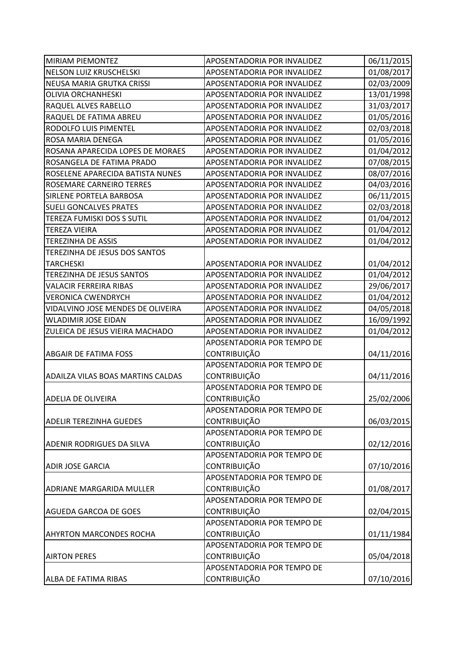| <b>MIRIAM PIEMONTEZ</b>                  | APOSENTADORIA POR INVALIDEZ | 06/11/2015 |
|------------------------------------------|-----------------------------|------------|
| NELSON LUIZ KRUSCHELSKI                  | APOSENTADORIA POR INVALIDEZ | 01/08/2017 |
| NEUSA MARIA GRUTKA CRISSI                | APOSENTADORIA POR INVALIDEZ | 02/03/2009 |
| <b>OLIVIA ORCHANHESKI</b>                | APOSENTADORIA POR INVALIDEZ | 13/01/1998 |
| RAQUEL ALVES RABELLO                     | APOSENTADORIA POR INVALIDEZ | 31/03/2017 |
| RAQUEL DE FATIMA ABREU                   | APOSENTADORIA POR INVALIDEZ | 01/05/2016 |
| RODOLFO LUIS PIMENTEL                    | APOSENTADORIA POR INVALIDEZ | 02/03/2018 |
| ROSA MARIA DENEGA                        | APOSENTADORIA POR INVALIDEZ | 01/05/2016 |
| ROSANA APARECIDA LOPES DE MORAES         | APOSENTADORIA POR INVALIDEZ | 01/04/2012 |
| ROSANGELA DE FATIMA PRADO                | APOSENTADORIA POR INVALIDEZ | 07/08/2015 |
| ROSELENE APARECIDA BATISTA NUNES         | APOSENTADORIA POR INVALIDEZ | 08/07/2016 |
| ROSEMARE CARNEIRO TERRES                 | APOSENTADORIA POR INVALIDEZ | 04/03/2016 |
| SIRLENE PORTELA BARBOSA                  | APOSENTADORIA POR INVALIDEZ | 06/11/2015 |
| <b>SUELI GONCALVES PRATES</b>            | APOSENTADORIA POR INVALIDEZ | 02/03/2018 |
| TEREZA FUMISKI DOS S SUTIL               | APOSENTADORIA POR INVALIDEZ | 01/04/2012 |
| <b>TEREZA VIEIRA</b>                     | APOSENTADORIA POR INVALIDEZ | 01/04/2012 |
| <b>TEREZINHA DE ASSIS</b>                | APOSENTADORIA POR INVALIDEZ | 01/04/2012 |
| TEREZINHA DE JESUS DOS SANTOS            |                             |            |
| <b>TARCHESKI</b>                         | APOSENTADORIA POR INVALIDEZ | 01/04/2012 |
| <b>TEREZINHA DE JESUS SANTOS</b>         | APOSENTADORIA POR INVALIDEZ | 01/04/2012 |
| <b>VALACIR FERREIRA RIBAS</b>            | APOSENTADORIA POR INVALIDEZ | 29/06/2017 |
| <b>VERONICA CWENDRYCH</b>                | APOSENTADORIA POR INVALIDEZ | 01/04/2012 |
| VIDALVINO JOSE MENDES DE OLIVEIRA        | APOSENTADORIA POR INVALIDEZ | 04/05/2018 |
| <b>WLADIMIR JOSE EIDAN</b>               | APOSENTADORIA POR INVALIDEZ | 16/09/1992 |
| ZULEICA DE JESUS VIEIRA MACHADO          | APOSENTADORIA POR INVALIDEZ | 01/04/2012 |
|                                          | APOSENTADORIA POR TEMPO DE  |            |
| <b>ABGAIR DE FATIMA FOSS</b>             | <b>CONTRIBUIÇÃO</b>         | 04/11/2016 |
|                                          | APOSENTADORIA POR TEMPO DE  |            |
| <b>ADAILZA VILAS BOAS MARTINS CALDAS</b> | <b>CONTRIBUIÇÃO</b>         | 04/11/2016 |
|                                          | APOSENTADORIA POR TEMPO DE  |            |
| IADELIA DE OLIVEIRA                      | <b>CONTRIBUIÇÃO</b>         | 25/02/2006 |
|                                          | APOSENTADORIA POR TEMPO DE  |            |
| <b>ADELIR TEREZINHA GUEDES</b>           | <b>CONTRIBUIÇÃO</b>         | 06/03/2015 |
|                                          | APOSENTADORIA POR TEMPO DE  |            |
| <b>ADENIR RODRIGUES DA SILVA</b>         | <b>CONTRIBUIÇÃO</b>         | 02/12/2016 |
|                                          | APOSENTADORIA POR TEMPO DE  |            |
| <b>ADIR JOSE GARCIA</b>                  | <b>CONTRIBUIÇÃO</b>         | 07/10/2016 |
|                                          | APOSENTADORIA POR TEMPO DE  |            |
| <b>ADRIANE MARGARIDA MULLER</b>          | <b>CONTRIBUIÇÃO</b>         | 01/08/2017 |
|                                          | APOSENTADORIA POR TEMPO DE  |            |
| <b>AGUEDA GARCOA DE GOES</b>             | <b>CONTRIBUIÇÃO</b>         | 02/04/2015 |
|                                          | APOSENTADORIA POR TEMPO DE  |            |
| <b>AHYRTON MARCONDES ROCHA</b>           | CONTRIBUIÇÃO                | 01/11/1984 |
|                                          | APOSENTADORIA POR TEMPO DE  |            |
| <b>AIRTON PERES</b>                      | <b>CONTRIBUIÇÃO</b>         | 05/04/2018 |
|                                          | APOSENTADORIA POR TEMPO DE  |            |
| <b>ALBA DE FATIMA RIBAS</b>              | CONTRIBUIÇÃO                | 07/10/2016 |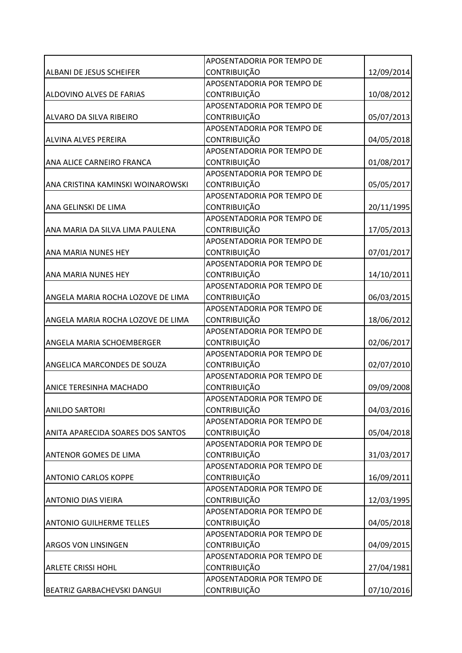|                                    | APOSENTADORIA POR TEMPO DE |            |
|------------------------------------|----------------------------|------------|
| <b>ALBANI DE JESUS SCHEIFER</b>    | <b>CONTRIBUIÇÃO</b>        | 12/09/2014 |
|                                    | APOSENTADORIA POR TEMPO DE |            |
| ALDOVINO ALVES DE FARIAS           | <b>CONTRIBUIÇÃO</b>        | 10/08/2012 |
|                                    | APOSENTADORIA POR TEMPO DE |            |
| ALVARO DA SILVA RIBEIRO            | <b>CONTRIBUIÇÃO</b>        | 05/07/2013 |
|                                    | APOSENTADORIA POR TEMPO DE |            |
| <b>ALVINA ALVES PEREIRA</b>        | CONTRIBUIÇÃO               | 04/05/2018 |
|                                    | APOSENTADORIA POR TEMPO DE |            |
| <b>ANA ALICE CARNEIRO FRANCA</b>   | <b>CONTRIBUIÇÃO</b>        | 01/08/2017 |
|                                    | APOSENTADORIA POR TEMPO DE |            |
| ANA CRISTINA KAMINSKI WOINAROWSKI  | CONTRIBUIÇÃO               | 05/05/2017 |
|                                    | APOSENTADORIA POR TEMPO DE |            |
| ANA GELINSKI DE LIMA               | <b>CONTRIBUIÇÃO</b>        | 20/11/1995 |
|                                    | APOSENTADORIA POR TEMPO DE |            |
| ANA MARIA DA SILVA LIMA PAULENA    | CONTRIBUIÇÃO               | 17/05/2013 |
|                                    | APOSENTADORIA POR TEMPO DE |            |
| <b>ANA MARIA NUNES HEY</b>         | <b>CONTRIBUIÇÃO</b>        | 07/01/2017 |
|                                    | APOSENTADORIA POR TEMPO DE |            |
| <b>ANA MARIA NUNES HEY</b>         | <b>CONTRIBUIÇÃO</b>        | 14/10/2011 |
|                                    | APOSENTADORIA POR TEMPO DE |            |
| ANGELA MARIA ROCHA LOZOVE DE LIMA  | <b>CONTRIBUIÇÃO</b>        | 06/03/2015 |
|                                    | APOSENTADORIA POR TEMPO DE |            |
| ANGELA MARIA ROCHA LOZOVE DE LIMA  | <b>CONTRIBUIÇÃO</b>        | 18/06/2012 |
|                                    | APOSENTADORIA POR TEMPO DE |            |
| ANGELA MARIA SCHOEMBERGER          | CONTRIBUIÇÃO               | 02/06/2017 |
|                                    | APOSENTADORIA POR TEMPO DE |            |
| ANGELICA MARCONDES DE SOUZA        | <b>CONTRIBUIÇÃO</b>        | 02/07/2010 |
|                                    | APOSENTADORIA POR TEMPO DE |            |
| <b>ANICE TERESINHA MACHADO</b>     | <b>CONTRIBUIÇÃO</b>        | 09/09/2008 |
|                                    | APOSENTADORIA POR TEMPO DE |            |
| <b>ANILDO SARTORI</b>              | <b>CONTRIBUIÇÃO</b>        | 04/03/2016 |
|                                    | APOSENTADORIA POR TEMPO DE |            |
| ANITA APARECIDA SOARES DOS SANTOS  | <b>CONTRIBUIÇÃO</b>        | 05/04/2018 |
|                                    | APOSENTADORIA POR TEMPO DE |            |
| <b>ANTENOR GOMES DE LIMA</b>       | <b>CONTRIBUIÇÃO</b>        | 31/03/2017 |
|                                    | APOSENTADORIA POR TEMPO DE |            |
| <b>ANTONIO CARLOS KOPPE</b>        | CONTRIBUIÇÃO               | 16/09/2011 |
|                                    | APOSENTADORIA POR TEMPO DE |            |
| <b>ANTONIO DIAS VIEIRA</b>         | <b>CONTRIBUIÇÃO</b>        | 12/03/1995 |
|                                    | APOSENTADORIA POR TEMPO DE |            |
| <b>ANTONIO GUILHERME TELLES</b>    | <b>CONTRIBUIÇÃO</b>        | 04/05/2018 |
|                                    | APOSENTADORIA POR TEMPO DE |            |
| <b>ARGOS VON LINSINGEN</b>         | <b>CONTRIBUIÇÃO</b>        | 04/09/2015 |
|                                    | APOSENTADORIA POR TEMPO DE |            |
| <b>ARLETE CRISSI HOHL</b>          | <b>CONTRIBUIÇÃO</b>        | 27/04/1981 |
|                                    | APOSENTADORIA POR TEMPO DE |            |
| <b>BEATRIZ GARBACHEVSKI DANGUI</b> | CONTRIBUIÇÃO               | 07/10/2016 |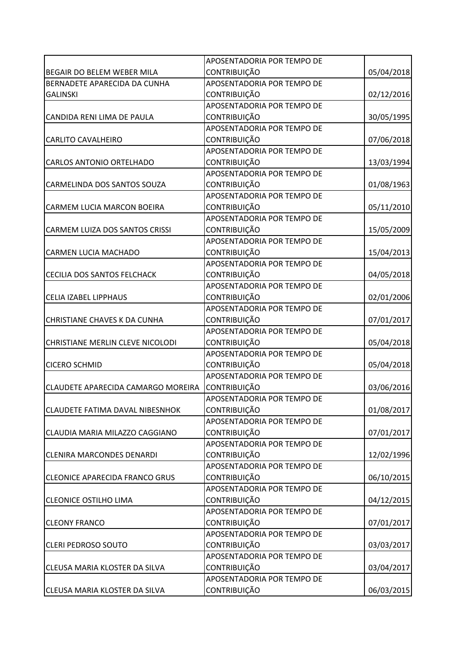|                                        | APOSENTADORIA POR TEMPO DE |            |
|----------------------------------------|----------------------------|------------|
| BEGAIR DO BELEM WEBER MILA             | <b>CONTRIBUIÇÃO</b>        | 05/04/2018 |
| BERNADETE APARECIDA DA CUNHA           | APOSENTADORIA POR TEMPO DE |            |
| <b>GALINSKI</b>                        | <b>CONTRIBUIÇÃO</b>        | 02/12/2016 |
|                                        | APOSENTADORIA POR TEMPO DE |            |
| CANDIDA RENI LIMA DE PAULA             | <b>CONTRIBUIÇÃO</b>        | 30/05/1995 |
|                                        | APOSENTADORIA POR TEMPO DE |            |
| <b>CARLITO CAVALHEIRO</b>              | CONTRIBUIÇÃO               | 07/06/2018 |
|                                        | APOSENTADORIA POR TEMPO DE |            |
| <b>CARLOS ANTONIO ORTELHADO</b>        | <b>CONTRIBUIÇÃO</b>        | 13/03/1994 |
|                                        | APOSENTADORIA POR TEMPO DE |            |
| CARMELINDA DOS SANTOS SOUZA            | CONTRIBUIÇÃO               | 01/08/1963 |
|                                        | APOSENTADORIA POR TEMPO DE |            |
| CARMEM LUCIA MARCON BOEIRA             | <b>CONTRIBUIÇÃO</b>        | 05/11/2010 |
|                                        | APOSENTADORIA POR TEMPO DE |            |
| CARMEM LUIZA DOS SANTOS CRISSI         | CONTRIBUIÇÃO               | 15/05/2009 |
|                                        | APOSENTADORIA POR TEMPO DE |            |
| CARMEN LUCIA MACHADO                   | <b>CONTRIBUIÇÃO</b>        | 15/04/2013 |
|                                        | APOSENTADORIA POR TEMPO DE |            |
| CECILIA DOS SANTOS FELCHACK            | <b>CONTRIBUIÇÃO</b>        | 04/05/2018 |
|                                        | APOSENTADORIA POR TEMPO DE |            |
| <b>CELIA IZABEL LIPPHAUS</b>           | <b>CONTRIBUIÇÃO</b>        | 02/01/2006 |
|                                        | APOSENTADORIA POR TEMPO DE |            |
| CHRISTIANE CHAVES K DA CUNHA           | <b>CONTRIBUIÇÃO</b>        | 07/01/2017 |
|                                        | APOSENTADORIA POR TEMPO DE |            |
| CHRISTIANE MERLIN CLEVE NICOLODI       | CONTRIBUIÇÃO               | 05/04/2018 |
|                                        | APOSENTADORIA POR TEMPO DE |            |
| <b>CICERO SCHMID</b>                   | CONTRIBUIÇÃO               | 05/04/2018 |
|                                        | APOSENTADORIA POR TEMPO DE |            |
| CLAUDETE APARECIDA CAMARGO MOREIRA     | <b>CONTRIBUIÇÃO</b>        | 03/06/2016 |
|                                        | APOSENTADORIA POR TEMPO DE |            |
| <b>CLAUDETE FATIMA DAVAL NIBESNHOK</b> | <b>CONTRIBUIÇÃO</b>        | 01/08/2017 |
|                                        | APOSENTADORIA POR TEMPO DE |            |
| CLAUDIA MARIA MILAZZO CAGGIANO         | <b>CONTRIBUIÇÃO</b>        | 07/01/2017 |
|                                        | APOSENTADORIA POR TEMPO DE |            |
| <b>CLENIRA MARCONDES DENARDI</b>       | <b>CONTRIBUIÇÃO</b>        | 12/02/1996 |
|                                        | APOSENTADORIA POR TEMPO DE |            |
| <b>CLEONICE APARECIDA FRANCO GRUS</b>  | CONTRIBUIÇÃO               | 06/10/2015 |
|                                        | APOSENTADORIA POR TEMPO DE |            |
| <b>CLEONICE OSTILHO LIMA</b>           | <b>CONTRIBUIÇÃO</b>        | 04/12/2015 |
|                                        | APOSENTADORIA POR TEMPO DE |            |
| <b>CLEONY FRANCO</b>                   | CONTRIBUIÇÃO               | 07/01/2017 |
|                                        | APOSENTADORIA POR TEMPO DE |            |
| <b>CLERI PEDROSO SOUTO</b>             | <b>CONTRIBUIÇÃO</b>        | 03/03/2017 |
|                                        | APOSENTADORIA POR TEMPO DE |            |
| CLEUSA MARIA KLOSTER DA SILVA          | <b>CONTRIBUIÇÃO</b>        | 03/04/2017 |
|                                        | APOSENTADORIA POR TEMPO DE |            |
| CLEUSA MARIA KLOSTER DA SILVA          | CONTRIBUIÇÃO               | 06/03/2015 |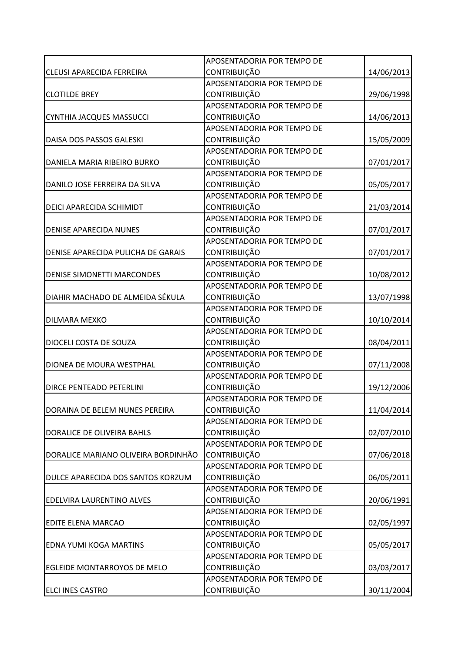|                                     | APOSENTADORIA POR TEMPO DE |            |
|-------------------------------------|----------------------------|------------|
| <b>CLEUSI APARECIDA FERREIRA</b>    | <b>CONTRIBUIÇÃO</b>        | 14/06/2013 |
|                                     | APOSENTADORIA POR TEMPO DE |            |
| <b>CLOTILDE BREY</b>                | <b>CONTRIBUIÇÃO</b>        | 29/06/1998 |
|                                     | APOSENTADORIA POR TEMPO DE |            |
| CYNTHIA JACQUES MASSUCCI            | <b>CONTRIBUIÇÃO</b>        | 14/06/2013 |
|                                     | APOSENTADORIA POR TEMPO DE |            |
| DAISA DOS PASSOS GALESKI            | <b>CONTRIBUIÇÃO</b>        | 15/05/2009 |
|                                     | APOSENTADORIA POR TEMPO DE |            |
| DANIELA MARIA RIBEIRO BURKO         | <b>CONTRIBUIÇÃO</b>        | 07/01/2017 |
|                                     | APOSENTADORIA POR TEMPO DE |            |
| DANILO JOSE FERREIRA DA SILVA       | CONTRIBUIÇÃO               | 05/05/2017 |
|                                     | APOSENTADORIA POR TEMPO DE |            |
| DEICI APARECIDA SCHIMIDT            | <b>CONTRIBUIÇÃO</b>        | 21/03/2014 |
|                                     | APOSENTADORIA POR TEMPO DE |            |
| <b>DENISE APARECIDA NUNES</b>       | <b>CONTRIBUIÇÃO</b>        | 07/01/2017 |
|                                     | APOSENTADORIA POR TEMPO DE |            |
| DENISE APARECIDA PULICHA DE GARAIS  | <b>CONTRIBUIÇÃO</b>        | 07/01/2017 |
|                                     | APOSENTADORIA POR TEMPO DE |            |
| <b>DENISE SIMONETTI MARCONDES</b>   | <b>CONTRIBUIÇÃO</b>        | 10/08/2012 |
|                                     | APOSENTADORIA POR TEMPO DE |            |
| DIAHIR MACHADO DE ALMEIDA SÉKULA    | <b>CONTRIBUIÇÃO</b>        | 13/07/1998 |
|                                     | APOSENTADORIA POR TEMPO DE |            |
| DILMARA MEXKO                       | <b>CONTRIBUIÇÃO</b>        | 10/10/2014 |
|                                     | APOSENTADORIA POR TEMPO DE |            |
| DIOCELI COSTA DE SOUZA              | CONTRIBUIÇÃO               | 08/04/2011 |
|                                     | APOSENTADORIA POR TEMPO DE |            |
| DIONEA DE MOURA WESTPHAL            | <b>CONTRIBUIÇÃO</b>        | 07/11/2008 |
|                                     | APOSENTADORIA POR TEMPO DE |            |
| DIRCE PENTEADO PETERLINI            | <b>CONTRIBUIÇÃO</b>        | 19/12/2006 |
|                                     | APOSENTADORIA POR TEMPO DE |            |
| DORAINA DE BELEM NUNES PEREIRA      | <b>CONTRIBUIÇÃO</b>        | 11/04/2014 |
|                                     | APOSENTADORIA POR TEMPO DE |            |
| DORALICE DE OLIVEIRA BAHLS          | CONTRIBUIÇÃO               | 02/07/2010 |
|                                     | APOSENTADORIA POR TEMPO DE |            |
| DORALICE MARIANO OLIVEIRA BORDINHÃO | CONTRIBUIÇÃO               | 07/06/2018 |
|                                     | APOSENTADORIA POR TEMPO DE |            |
| DULCE APARECIDA DOS SANTOS KORZUM   | CONTRIBUIÇÃO               | 06/05/2011 |
|                                     | APOSENTADORIA POR TEMPO DE |            |
| EDELVIRA LAURENTINO ALVES           | <b>CONTRIBUIÇÃO</b>        | 20/06/1991 |
|                                     | APOSENTADORIA POR TEMPO DE |            |
| EDITE ELENA MARCAO                  | <b>CONTRIBUIÇÃO</b>        | 02/05/1997 |
|                                     | APOSENTADORIA POR TEMPO DE |            |
| <b>EDNA YUMI KOGA MARTINS</b>       | <b>CONTRIBUIÇÃO</b>        | 05/05/2017 |
|                                     | APOSENTADORIA POR TEMPO DE |            |
| <b>EGLEIDE MONTARROYOS DE MELO</b>  | <b>CONTRIBUIÇÃO</b>        | 03/03/2017 |
|                                     | APOSENTADORIA POR TEMPO DE |            |
| <b>ELCI INES CASTRO</b>             | CONTRIBUIÇÃO               | 30/11/2004 |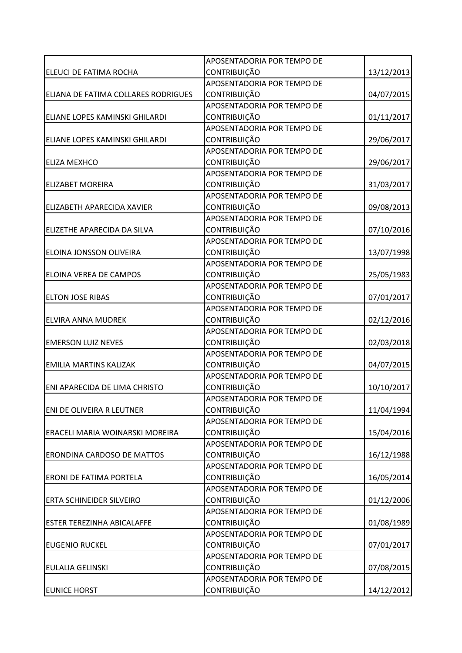|                                     | APOSENTADORIA POR TEMPO DE |            |
|-------------------------------------|----------------------------|------------|
| ELEUCI DE FATIMA ROCHA              | <b>CONTRIBUIÇÃO</b>        | 13/12/2013 |
|                                     | APOSENTADORIA POR TEMPO DE |            |
| ELIANA DE FATIMA COLLARES RODRIGUES | <b>CONTRIBUIÇÃO</b>        | 04/07/2015 |
|                                     | APOSENTADORIA POR TEMPO DE |            |
| ELIANE LOPES KAMINSKI GHILARDI      | <b>CONTRIBUIÇÃO</b>        | 01/11/2017 |
|                                     | APOSENTADORIA POR TEMPO DE |            |
| ELIANE LOPES KAMINSKI GHILARDI      | <b>CONTRIBUIÇÃO</b>        | 29/06/2017 |
|                                     | APOSENTADORIA POR TEMPO DE |            |
| <b>ELIZA MEXHCO</b>                 | <b>CONTRIBUIÇÃO</b>        | 29/06/2017 |
|                                     | APOSENTADORIA POR TEMPO DE |            |
| <b>ELIZABET MOREIRA</b>             | CONTRIBUIÇÃO               | 31/03/2017 |
|                                     | APOSENTADORIA POR TEMPO DE |            |
| <b>ELIZABETH APARECIDA XAVIER</b>   | <b>CONTRIBUIÇÃO</b>        | 09/08/2013 |
|                                     | APOSENTADORIA POR TEMPO DE |            |
| ELIZETHE APARECIDA DA SILVA         | CONTRIBUIÇÃO               | 07/10/2016 |
|                                     | APOSENTADORIA POR TEMPO DE |            |
| <b>ELOINA JONSSON OLIVEIRA</b>      | <b>CONTRIBUIÇÃO</b>        | 13/07/1998 |
|                                     | APOSENTADORIA POR TEMPO DE |            |
| <b>ELOINA VEREA DE CAMPOS</b>       | <b>CONTRIBUIÇÃO</b>        | 25/05/1983 |
|                                     | APOSENTADORIA POR TEMPO DE |            |
| <b>ELTON JOSE RIBAS</b>             | <b>CONTRIBUIÇÃO</b>        | 07/01/2017 |
|                                     | APOSENTADORIA POR TEMPO DE |            |
| <b>ELVIRA ANNA MUDREK</b>           | <b>CONTRIBUIÇÃO</b>        | 02/12/2016 |
|                                     | APOSENTADORIA POR TEMPO DE |            |
| <b>EMERSON LUIZ NEVES</b>           | CONTRIBUIÇÃO               | 02/03/2018 |
|                                     | APOSENTADORIA POR TEMPO DE |            |
| <b>EMILIA MARTINS KALIZAK</b>       | <b>CONTRIBUIÇÃO</b>        | 04/07/2015 |
|                                     | APOSENTADORIA POR TEMPO DE |            |
| ENI APARECIDA DE LIMA CHRISTO       | CONTRIBUIÇÃO               | 10/10/2017 |
|                                     | APOSENTADORIA POR TEMPO DE |            |
| <b>ENI DE OLIVEIRA R LEUTNER</b>    | <b>CONTRIBUIÇÃO</b>        | 11/04/1994 |
|                                     | APOSENTADORIA POR TEMPO DE |            |
| ERACELI MARIA WOINARSKI MOREIRA     | CONTRIBUIÇÃO               | 15/04/2016 |
|                                     | APOSENTADORIA POR TEMPO DE |            |
| <b>ERONDINA CARDOSO DE MATTOS</b>   | <b>CONTRIBUIÇÃO</b>        | 16/12/1988 |
|                                     | APOSENTADORIA POR TEMPO DE |            |
| <b>ERONI DE FATIMA PORTELA</b>      | CONTRIBUIÇÃO               | 16/05/2014 |
|                                     | APOSENTADORIA POR TEMPO DE |            |
| <b>ERTA SCHINEIDER SILVEIRO</b>     | <b>CONTRIBUIÇÃO</b>        | 01/12/2006 |
|                                     | APOSENTADORIA POR TEMPO DE |            |
| <b>ESTER TEREZINHA ABICALAFFE</b>   | <b>CONTRIBUIÇÃO</b>        | 01/08/1989 |
|                                     | APOSENTADORIA POR TEMPO DE |            |
| <b>EUGENIO RUCKEL</b>               | <b>CONTRIBUIÇÃO</b>        | 07/01/2017 |
|                                     | APOSENTADORIA POR TEMPO DE |            |
| <b>EULALIA GELINSKI</b>             | <b>CONTRIBUIÇÃO</b>        | 07/08/2015 |
|                                     | APOSENTADORIA POR TEMPO DE |            |
| <b>EUNICE HORST</b>                 | CONTRIBUIÇÃO               | 14/12/2012 |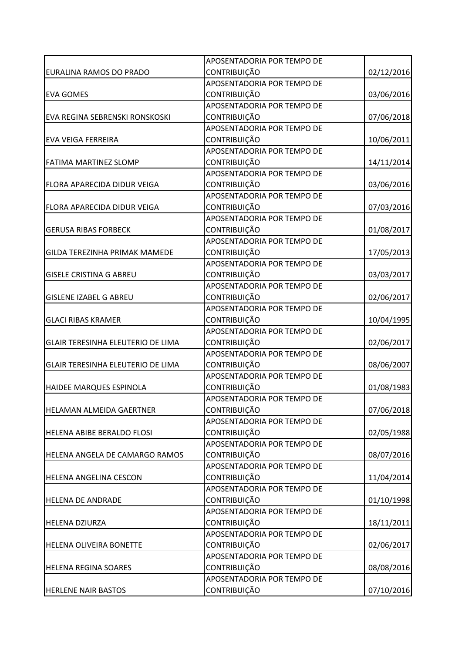|                                       | APOSENTADORIA POR TEMPO DE |            |
|---------------------------------------|----------------------------|------------|
| EURALINA RAMOS DO PRADO               | <b>CONTRIBUIÇÃO</b>        | 02/12/2016 |
|                                       | APOSENTADORIA POR TEMPO DE |            |
| <b>EVA GOMES</b>                      | <b>CONTRIBUIÇÃO</b>        | 03/06/2016 |
|                                       | APOSENTADORIA POR TEMPO DE |            |
| EVA REGINA SEBRENSKI RONSKOSKI        | <b>CONTRIBUIÇÃO</b>        | 07/06/2018 |
|                                       | APOSENTADORIA POR TEMPO DE |            |
| <b>EVA VEIGA FERREIRA</b>             | <b>CONTRIBUIÇÃO</b>        | 10/06/2011 |
|                                       | APOSENTADORIA POR TEMPO DE |            |
| <b>FATIMA MARTINEZ SLOMP</b>          | <b>CONTRIBUIÇÃO</b>        | 14/11/2014 |
|                                       | APOSENTADORIA POR TEMPO DE |            |
| FLORA APARECIDA DIDUR VEIGA           | CONTRIBUIÇÃO               | 03/06/2016 |
|                                       | APOSENTADORIA POR TEMPO DE |            |
| FLORA APARECIDA DIDUR VEIGA           | CONTRIBUIÇÃO               | 07/03/2016 |
|                                       | APOSENTADORIA POR TEMPO DE |            |
| <b>GERUSA RIBAS FORBECK</b>           | CONTRIBUIÇÃO               | 01/08/2017 |
|                                       | APOSENTADORIA POR TEMPO DE |            |
| <b>GILDA TEREZINHA PRIMAK MAMEDE</b>  | <b>CONTRIBUIÇÃO</b>        | 17/05/2013 |
|                                       | APOSENTADORIA POR TEMPO DE |            |
| <b>GISELE CRISTINA G ABREU</b>        | <b>CONTRIBUIÇÃO</b>        | 03/03/2017 |
|                                       | APOSENTADORIA POR TEMPO DE |            |
| <b>GISLENE IZABEL G ABREU</b>         | <b>CONTRIBUIÇÃO</b>        | 02/06/2017 |
|                                       | APOSENTADORIA POR TEMPO DE |            |
| <b>GLACI RIBAS KRAMER</b>             | <b>CONTRIBUIÇÃO</b>        | 10/04/1995 |
|                                       | APOSENTADORIA POR TEMPO DE |            |
| GLAIR TERESINHA ELEUTERIO DE LIMA     | CONTRIBUIÇÃO               | 02/06/2017 |
|                                       | APOSENTADORIA POR TEMPO DE |            |
| GLAIR TERESINHA ELEUTERIO DE LIMA     | <b>CONTRIBUIÇÃO</b>        | 08/06/2007 |
|                                       | APOSENTADORIA POR TEMPO DE |            |
| HAIDEE MARQUES ESPINOLA               | <b>CONTRIBUIÇÃO</b>        | 01/08/1983 |
|                                       | APOSENTADORIA POR TEMPO DE |            |
| <b>HELAMAN ALMEIDA GAERTNER</b>       | <b>CONTRIBUIÇÃO</b>        | 07/06/2018 |
|                                       | APOSENTADORIA POR TEMPO DE |            |
| HELENA ABIBE BERALDO FLOSI            | CONTRIBUIÇÃO               | 02/05/1988 |
|                                       | APOSENTADORIA POR TEMPO DE |            |
| <b>HELENA ANGELA DE CAMARGO RAMOS</b> | <b>CONTRIBUIÇÃO</b>        | 08/07/2016 |
|                                       | APOSENTADORIA POR TEMPO DE |            |
| <b>HELENA ANGELINA CESCON</b>         | CONTRIBUIÇÃO               | 11/04/2014 |
|                                       | APOSENTADORIA POR TEMPO DE |            |
| <b>HELENA DE ANDRADE</b>              | <b>CONTRIBUIÇÃO</b>        | 01/10/1998 |
|                                       | APOSENTADORIA POR TEMPO DE |            |
| <b>HELENA DZIURZA</b>                 | <b>CONTRIBUIÇÃO</b>        | 18/11/2011 |
|                                       | APOSENTADORIA POR TEMPO DE |            |
| <b>HELENA OLIVEIRA BONETTE</b>        | <b>CONTRIBUIÇÃO</b>        | 02/06/2017 |
|                                       | APOSENTADORIA POR TEMPO DE |            |
| <b>HELENA REGINA SOARES</b>           | <b>CONTRIBUIÇÃO</b>        | 08/08/2016 |
|                                       | APOSENTADORIA POR TEMPO DE |            |
| <b>HERLENE NAIR BASTOS</b>            | CONTRIBUIÇÃO               | 07/10/2016 |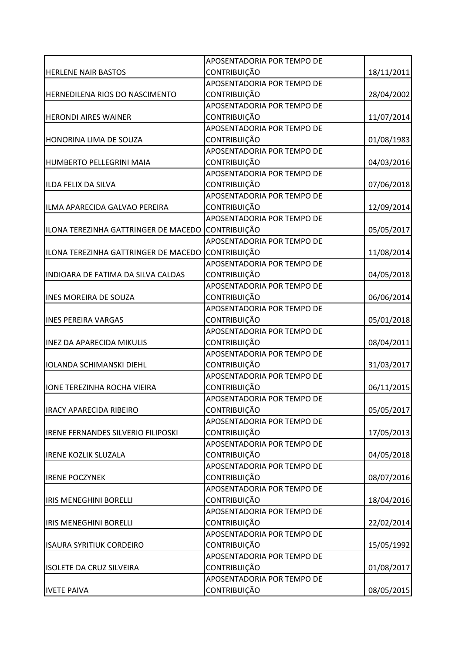|                                      | APOSENTADORIA POR TEMPO DE |            |
|--------------------------------------|----------------------------|------------|
| <b>HERLENE NAIR BASTOS</b>           | <b>CONTRIBUIÇÃO</b>        | 18/11/2011 |
|                                      | APOSENTADORIA POR TEMPO DE |            |
| HERNEDILENA RIOS DO NASCIMENTO       | <b>CONTRIBUIÇÃO</b>        | 28/04/2002 |
|                                      | APOSENTADORIA POR TEMPO DE |            |
| <b>HERONDI AIRES WAINER</b>          | <b>CONTRIBUIÇÃO</b>        | 11/07/2014 |
|                                      | APOSENTADORIA POR TEMPO DE |            |
| HONORINA LIMA DE SOUZA               | CONTRIBUIÇÃO               | 01/08/1983 |
|                                      | APOSENTADORIA POR TEMPO DE |            |
| <b>HUMBERTO PELLEGRINI MAIA</b>      | <b>CONTRIBUIÇÃO</b>        | 04/03/2016 |
|                                      | APOSENTADORIA POR TEMPO DE |            |
| ILDA FELIX DA SILVA                  | CONTRIBUIÇÃO               | 07/06/2018 |
|                                      | APOSENTADORIA POR TEMPO DE |            |
| ILMA APARECIDA GALVAO PEREIRA        | <b>CONTRIBUIÇÃO</b>        | 12/09/2014 |
|                                      | APOSENTADORIA POR TEMPO DE |            |
| ILONA TEREZINHA GATTRINGER DE MACEDO | <b>CONTRIBUIÇÃO</b>        | 05/05/2017 |
|                                      | APOSENTADORIA POR TEMPO DE |            |
| ILONA TEREZINHA GATTRINGER DE MACEDO | CONTRIBUIÇÃO               | 11/08/2014 |
|                                      | APOSENTADORIA POR TEMPO DE |            |
| INDIOARA DE FATIMA DA SILVA CALDAS   | <b>CONTRIBUIÇÃO</b>        | 04/05/2018 |
|                                      | APOSENTADORIA POR TEMPO DE |            |
| <b>INES MOREIRA DE SOUZA</b>         | <b>CONTRIBUIÇÃO</b>        | 06/06/2014 |
|                                      | APOSENTADORIA POR TEMPO DE |            |
| <b>INES PEREIRA VARGAS</b>           | <b>CONTRIBUIÇÃO</b>        | 05/01/2018 |
|                                      | APOSENTADORIA POR TEMPO DE |            |
| <b>INEZ DA APARECIDA MIKULIS</b>     | CONTRIBUIÇÃO               | 08/04/2011 |
|                                      | APOSENTADORIA POR TEMPO DE |            |
| <b>IOLANDA SCHIMANSKI DIEHL</b>      | CONTRIBUIÇÃO               | 31/03/2017 |
|                                      | APOSENTADORIA POR TEMPO DE |            |
| <b>IONE TEREZINHA ROCHA VIEIRA</b>   | <b>CONTRIBUIÇÃO</b>        | 06/11/2015 |
|                                      | APOSENTADORIA POR TEMPO DE |            |
| <b>IRACY APARECIDA RIBEIRO</b>       | <b>CONTRIBUIÇÃO</b>        | 05/05/2017 |
|                                      | APOSENTADORIA POR TEMPO DE |            |
| IRENE FERNANDES SILVERIO FILIPOSKI   | <b>CONTRIBUIÇÃO</b>        | 17/05/2013 |
|                                      | APOSENTADORIA POR TEMPO DE |            |
| <b>IRENE KOZLIK SLUZALA</b>          | <b>CONTRIBUIÇÃO</b>        | 04/05/2018 |
|                                      | APOSENTADORIA POR TEMPO DE |            |
| <b>IRENE POCZYNEK</b>                | CONTRIBUIÇÃO               | 08/07/2016 |
|                                      | APOSENTADORIA POR TEMPO DE |            |
| <b>IRIS MENEGHINI BORELLI</b>        | <b>CONTRIBUIÇÃO</b>        | 18/04/2016 |
|                                      | APOSENTADORIA POR TEMPO DE |            |
| <b>IRIS MENEGHINI BORELLI</b>        | CONTRIBUIÇÃO               | 22/02/2014 |
|                                      | APOSENTADORIA POR TEMPO DE |            |
| <b>ISAURA SYRITIUK CORDEIRO</b>      | <b>CONTRIBUIÇÃO</b>        | 15/05/1992 |
|                                      | APOSENTADORIA POR TEMPO DE |            |
| <b>ISOLETE DA CRUZ SILVEIRA</b>      | <b>CONTRIBUIÇÃO</b>        | 01/08/2017 |
|                                      | APOSENTADORIA POR TEMPO DE |            |
| <b>IVETE PAIVA</b>                   | CONTRIBUIÇÃO               | 08/05/2015 |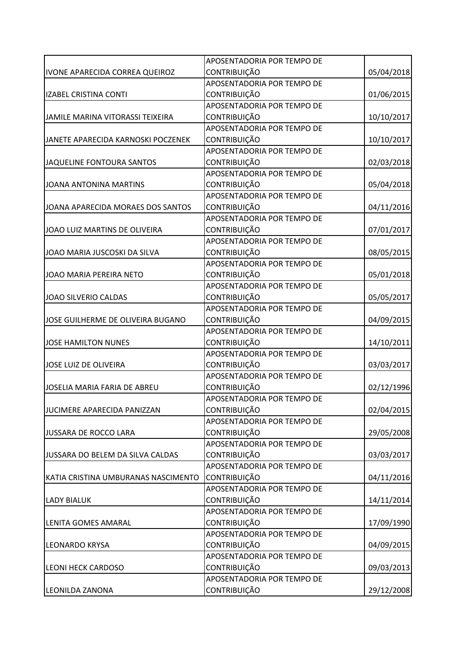|                                     | APOSENTADORIA POR TEMPO DE |            |
|-------------------------------------|----------------------------|------------|
| IVONE APARECIDA CORREA QUEIROZ      | <b>CONTRIBUIÇÃO</b>        | 05/04/2018 |
|                                     | APOSENTADORIA POR TEMPO DE |            |
| <b>IZABEL CRISTINA CONTI</b>        | <b>CONTRIBUIÇÃO</b>        | 01/06/2015 |
|                                     | APOSENTADORIA POR TEMPO DE |            |
| JAMILE MARINA VITORASSI TEIXEIRA    | <b>CONTRIBUIÇÃO</b>        | 10/10/2017 |
|                                     | APOSENTADORIA POR TEMPO DE |            |
| JANETE APARECIDA KARNOSKI POCZENEK  | <b>CONTRIBUIÇÃO</b>        | 10/10/2017 |
|                                     | APOSENTADORIA POR TEMPO DE |            |
| JAQUELINE FONTOURA SANTOS           | <b>CONTRIBUIÇÃO</b>        | 02/03/2018 |
|                                     | APOSENTADORIA POR TEMPO DE |            |
| JOANA ANTONINA MARTINS              | CONTRIBUIÇÃO               | 05/04/2018 |
|                                     | APOSENTADORIA POR TEMPO DE |            |
| JOANA APARECIDA MORAES DOS SANTOS   | <b>CONTRIBUIÇÃO</b>        | 04/11/2016 |
|                                     | APOSENTADORIA POR TEMPO DE |            |
| JOAO LUIZ MARTINS DE OLIVEIRA       | CONTRIBUIÇÃO               | 07/01/2017 |
|                                     | APOSENTADORIA POR TEMPO DE |            |
| JOAO MARIA JUSCOSKI DA SILVA        | <b>CONTRIBUIÇÃO</b>        | 08/05/2015 |
|                                     | APOSENTADORIA POR TEMPO DE |            |
| JOAO MARIA PEREIRA NETO             | <b>CONTRIBUIÇÃO</b>        | 05/01/2018 |
|                                     | APOSENTADORIA POR TEMPO DE |            |
| JOAO SILVERIO CALDAS                | <b>CONTRIBUIÇÃO</b>        | 05/05/2017 |
|                                     | APOSENTADORIA POR TEMPO DE |            |
| JOSE GUILHERME DE OLIVEIRA BUGANO   | <b>CONTRIBUIÇÃO</b>        | 04/09/2015 |
|                                     | APOSENTADORIA POR TEMPO DE |            |
| <b>JOSE HAMILTON NUNES</b>          | CONTRIBUIÇÃO               | 14/10/2011 |
|                                     | APOSENTADORIA POR TEMPO DE |            |
| JOSE LUIZ DE OLIVEIRA               | <b>CONTRIBUIÇÃO</b>        | 03/03/2017 |
|                                     | APOSENTADORIA POR TEMPO DE |            |
| JOSELIA MARIA FARIA DE ABREU        | CONTRIBUIÇÃO               | 02/12/1996 |
|                                     | APOSENTADORIA POR TEMPO DE |            |
| JUCIMERE APARECIDA PANIZZAN         | <b>CONTRIBUIÇÃO</b>        | 02/04/2015 |
|                                     | APOSENTADORIA POR TEMPO DE |            |
| JUSSARA DE ROCCO LARA               | <b>CONTRIBUIÇÃO</b>        | 29/05/2008 |
|                                     | APOSENTADORIA POR TEMPO DE |            |
| JUSSARA DO BELEM DA SILVA CALDAS    | <b>CONTRIBUIÇÃO</b>        | 03/03/2017 |
|                                     | APOSENTADORIA POR TEMPO DE |            |
| KATIA CRISTINA UMBURANAS NASCIMENTO | CONTRIBUIÇÃO               | 04/11/2016 |
|                                     | APOSENTADORIA POR TEMPO DE |            |
| <b>LADY BIALUK</b>                  | <b>CONTRIBUIÇÃO</b>        | 14/11/2014 |
|                                     | APOSENTADORIA POR TEMPO DE |            |
| LENITA GOMES AMARAL                 | <b>CONTRIBUIÇÃO</b>        | 17/09/1990 |
|                                     | APOSENTADORIA POR TEMPO DE |            |
| <b>LEONARDO KRYSA</b>               | <b>CONTRIBUIÇÃO</b>        | 04/09/2015 |
|                                     | APOSENTADORIA POR TEMPO DE |            |
| <b>LEONI HECK CARDOSO</b>           | <b>CONTRIBUIÇÃO</b>        | 09/03/2013 |
|                                     | APOSENTADORIA POR TEMPO DE |            |
| LEONILDA ZANONA                     | CONTRIBUIÇÃO               | 29/12/2008 |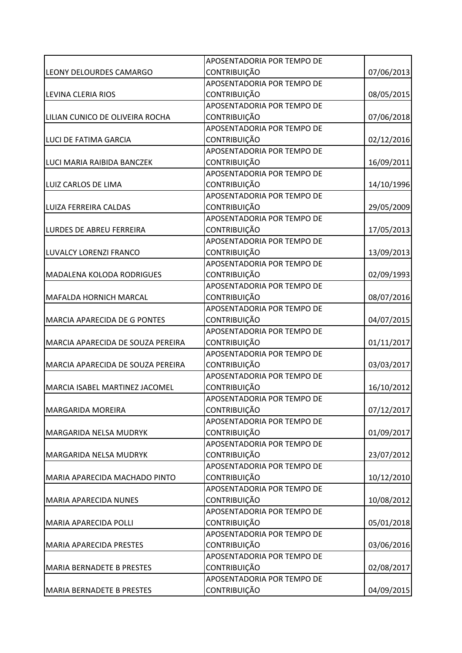|                                     | APOSENTADORIA POR TEMPO DE |            |
|-------------------------------------|----------------------------|------------|
| <b>LEONY DELOURDES CAMARGO</b>      | <b>CONTRIBUIÇÃO</b>        | 07/06/2013 |
|                                     | APOSENTADORIA POR TEMPO DE |            |
| <b>LEVINA CLERIA RIOS</b>           | <b>CONTRIBUIÇÃO</b>        | 08/05/2015 |
|                                     | APOSENTADORIA POR TEMPO DE |            |
| LILIAN CUNICO DE OLIVEIRA ROCHA     | <b>CONTRIBUIÇÃO</b>        | 07/06/2018 |
|                                     | APOSENTADORIA POR TEMPO DE |            |
| LUCI DE FATIMA GARCIA               | <b>CONTRIBUIÇÃO</b>        | 02/12/2016 |
|                                     | APOSENTADORIA POR TEMPO DE |            |
| LUCI MARIA RAIBIDA BANCZEK          | <b>CONTRIBUIÇÃO</b>        | 16/09/2011 |
|                                     | APOSENTADORIA POR TEMPO DE |            |
| LUIZ CARLOS DE LIMA                 | CONTRIBUIÇÃO               | 14/10/1996 |
|                                     | APOSENTADORIA POR TEMPO DE |            |
| LUIZA FERREIRA CALDAS               | <b>CONTRIBUIÇÃO</b>        | 29/05/2009 |
|                                     | APOSENTADORIA POR TEMPO DE |            |
| <b>LURDES DE ABREU FERREIRA</b>     | <b>CONTRIBUIÇÃO</b>        | 17/05/2013 |
|                                     | APOSENTADORIA POR TEMPO DE |            |
| LUVALCY LORENZI FRANCO              | CONTRIBUIÇÃO               | 13/09/2013 |
|                                     | APOSENTADORIA POR TEMPO DE |            |
| <b>MADALENA KOLODA RODRIGUES</b>    | <b>CONTRIBUIÇÃO</b>        | 02/09/1993 |
|                                     | APOSENTADORIA POR TEMPO DE |            |
| <b>MAFALDA HORNICH MARCAL</b>       | <b>CONTRIBUIÇÃO</b>        | 08/07/2016 |
|                                     | APOSENTADORIA POR TEMPO DE |            |
| <b>MARCIA APARECIDA DE G PONTES</b> | <b>CONTRIBUIÇÃO</b>        | 04/07/2015 |
|                                     | APOSENTADORIA POR TEMPO DE |            |
| MARCIA APARECIDA DE SOUZA PEREIRA   | CONTRIBUIÇÃO               | 01/11/2017 |
|                                     | APOSENTADORIA POR TEMPO DE |            |
| MARCIA APARECIDA DE SOUZA PEREIRA   | <b>CONTRIBUIÇÃO</b>        | 03/03/2017 |
|                                     | APOSENTADORIA POR TEMPO DE |            |
| MARCIA ISABEL MARTINEZ JACOMEL      | <b>CONTRIBUIÇÃO</b>        | 16/10/2012 |
|                                     | APOSENTADORIA POR TEMPO DE |            |
| <b>MARGARIDA MOREIRA</b>            | <b>CONTRIBUIÇÃO</b>        | 07/12/2017 |
|                                     | APOSENTADORIA POR TEMPO DE |            |
| <b>MARGARIDA NELSA MUDRYK</b>       | CONTRIBUIÇÃO               | 01/09/2017 |
|                                     | APOSENTADORIA POR TEMPO DE |            |
| MARGARIDA NELSA MUDRYK              | <b>CONTRIBUIÇÃO</b>        | 23/07/2012 |
|                                     | APOSENTADORIA POR TEMPO DE |            |
| MARIA APARECIDA MACHADO PINTO       | CONTRIBUIÇÃO               | 10/12/2010 |
|                                     | APOSENTADORIA POR TEMPO DE |            |
| <b>MARIA APARECIDA NUNES</b>        | <b>CONTRIBUIÇÃO</b>        | 10/08/2012 |
|                                     | APOSENTADORIA POR TEMPO DE |            |
| <b>MARIA APARECIDA POLLI</b>        | <b>CONTRIBUIÇÃO</b>        | 05/01/2018 |
|                                     | APOSENTADORIA POR TEMPO DE |            |
| <b>MARIA APARECIDA PRESTES</b>      | <b>CONTRIBUIÇÃO</b>        | 03/06/2016 |
|                                     | APOSENTADORIA POR TEMPO DE |            |
| <b>MARIA BERNADETE B PRESTES</b>    | <b>CONTRIBUIÇÃO</b>        | 02/08/2017 |
|                                     | APOSENTADORIA POR TEMPO DE |            |
| <b>MARIA BERNADETE B PRESTES</b>    | CONTRIBUIÇÃO               | 04/09/2015 |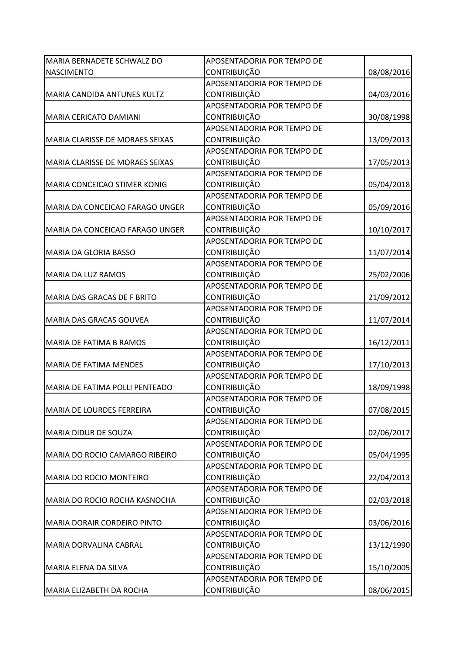| MARIA BERNADETE SCHWALZ DO         | APOSENTADORIA POR TEMPO DE |            |
|------------------------------------|----------------------------|------------|
| <b>NASCIMENTO</b>                  | <b>CONTRIBUIÇÃO</b>        | 08/08/2016 |
|                                    | APOSENTADORIA POR TEMPO DE |            |
| MARIA CANDIDA ANTUNES KULTZ        | <b>CONTRIBUIÇÃO</b>        | 04/03/2016 |
|                                    | APOSENTADORIA POR TEMPO DE |            |
| MARIA CERICATO DAMIANI             | <b>CONTRIBUIÇÃO</b>        | 30/08/1998 |
|                                    | APOSENTADORIA POR TEMPO DE |            |
| MARIA CLARISSE DE MORAES SEIXAS    | <b>CONTRIBUIÇÃO</b>        | 13/09/2013 |
|                                    | APOSENTADORIA POR TEMPO DE |            |
| MARIA CLARISSE DE MORAES SEIXAS    | <b>CONTRIBUIÇÃO</b>        | 17/05/2013 |
|                                    | APOSENTADORIA POR TEMPO DE |            |
| MARIA CONCEICAO STIMER KONIG       | CONTRIBUIÇÃO               | 05/04/2018 |
|                                    | APOSENTADORIA POR TEMPO DE |            |
| MARIA DA CONCEICAO FARAGO UNGER    | <b>CONTRIBUIÇÃO</b>        | 05/09/2016 |
|                                    | APOSENTADORIA POR TEMPO DE |            |
| MARIA DA CONCEICAO FARAGO UNGER    | CONTRIBUIÇÃO               | 10/10/2017 |
|                                    | APOSENTADORIA POR TEMPO DE |            |
| MARIA DA GLORIA BASSO              | <b>CONTRIBUIÇÃO</b>        | 11/07/2014 |
|                                    | APOSENTADORIA POR TEMPO DE |            |
| <b>MARIA DA LUZ RAMOS</b>          | <b>CONTRIBUIÇÃO</b>        | 25/02/2006 |
|                                    | APOSENTADORIA POR TEMPO DE |            |
| MARIA DAS GRACAS DE F BRITO        | <b>CONTRIBUIÇÃO</b>        | 21/09/2012 |
|                                    | APOSENTADORIA POR TEMPO DE |            |
| MARIA DAS GRACAS GOUVEA            | <b>CONTRIBUIÇÃO</b>        | 11/07/2014 |
|                                    | APOSENTADORIA POR TEMPO DE |            |
| MARIA DE FATIMA B RAMOS            | <b>CONTRIBUIÇÃO</b>        | 16/12/2011 |
|                                    | APOSENTADORIA POR TEMPO DE |            |
| <b>MARIA DE FATIMA MENDES</b>      | <b>CONTRIBUIÇÃO</b>        | 17/10/2013 |
|                                    | APOSENTADORIA POR TEMPO DE |            |
| MARIA DE FATIMA POLLI PENTEADO     | <b>CONTRIBUIÇÃO</b>        | 18/09/1998 |
|                                    | APOSENTADORIA POR TEMPO DE |            |
| MARIA DE LOURDES FERREIRA          | <b>CONTRIBUIÇÃO</b>        | 07/08/2015 |
|                                    | APOSENTADORIA POR TEMPO DE |            |
| <b>MARIA DIDUR DE SOUZA</b>        | <b>CONTRIBUIÇÃO</b>        | 02/06/2017 |
|                                    | APOSENTADORIA POR TEMPO DE |            |
| MARIA DO ROCIO CAMARGO RIBEIRO     | <b>CONTRIBUIÇÃO</b>        | 05/04/1995 |
|                                    | APOSENTADORIA POR TEMPO DE |            |
| <b>MARIA DO ROCIO MONTEIRO</b>     | CONTRIBUIÇÃO               | 22/04/2013 |
|                                    | APOSENTADORIA POR TEMPO DE |            |
| MARIA DO ROCIO ROCHA KASNOCHA      | <b>CONTRIBUIÇÃO</b>        | 02/03/2018 |
|                                    | APOSENTADORIA POR TEMPO DE |            |
| <b>MARIA DORAIR CORDEIRO PINTO</b> | <b>CONTRIBUIÇÃO</b>        | 03/06/2016 |
|                                    | APOSENTADORIA POR TEMPO DE |            |
| MARIA DORVALINA CABRAL             | <b>CONTRIBUIÇÃO</b>        | 13/12/1990 |
|                                    | APOSENTADORIA POR TEMPO DE |            |
| MARIA ELENA DA SILVA               | <b>CONTRIBUIÇÃO</b>        | 15/10/2005 |
|                                    | APOSENTADORIA POR TEMPO DE |            |
| MARIA ELIZABETH DA ROCHA           | CONTRIBUIÇÃO               | 08/06/2015 |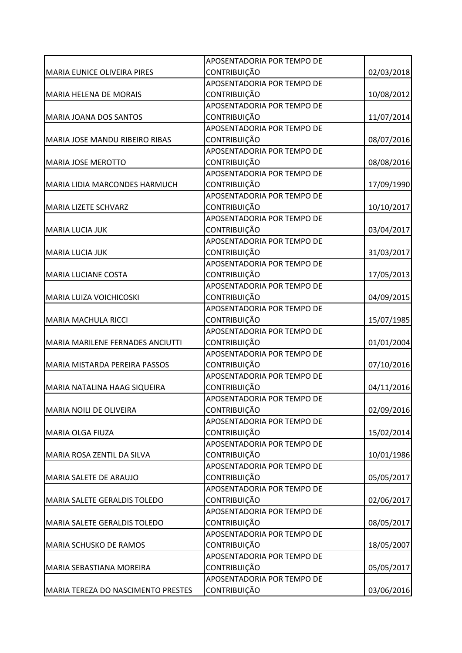|                                       | APOSENTADORIA POR TEMPO DE |            |
|---------------------------------------|----------------------------|------------|
| MARIA EUNICE OLIVEIRA PIRES           | <b>CONTRIBUIÇÃO</b>        | 02/03/2018 |
|                                       | APOSENTADORIA POR TEMPO DE |            |
| <b>MARIA HELENA DE MORAIS</b>         | <b>CONTRIBUIÇÃO</b>        | 10/08/2012 |
|                                       | APOSENTADORIA POR TEMPO DE |            |
| MARIA JOANA DOS SANTOS                | <b>CONTRIBUIÇÃO</b>        | 11/07/2014 |
|                                       | APOSENTADORIA POR TEMPO DE |            |
| <b>MARIA JOSE MANDU RIBEIRO RIBAS</b> | <b>CONTRIBUIÇÃO</b>        | 08/07/2016 |
|                                       | APOSENTADORIA POR TEMPO DE |            |
| <b>MARIA JOSE MEROTTO</b>             | <b>CONTRIBUIÇÃO</b>        | 08/08/2016 |
|                                       | APOSENTADORIA POR TEMPO DE |            |
| <b>MARIA LIDIA MARCONDES HARMUCH</b>  | CONTRIBUIÇÃO               | 17/09/1990 |
|                                       | APOSENTADORIA POR TEMPO DE |            |
| MARIA LIZETE SCHVARZ                  | <b>CONTRIBUIÇÃO</b>        | 10/10/2017 |
|                                       | APOSENTADORIA POR TEMPO DE |            |
| MARIA LUCIA JUK                       | CONTRIBUIÇÃO               | 03/04/2017 |
|                                       | APOSENTADORIA POR TEMPO DE |            |
| <b>MARIA LUCIA JUK</b>                | <b>CONTRIBUIÇÃO</b>        | 31/03/2017 |
|                                       | APOSENTADORIA POR TEMPO DE |            |
| <b>MARIA LUCIANE COSTA</b>            | <b>CONTRIBUIÇÃO</b>        | 17/05/2013 |
|                                       | APOSENTADORIA POR TEMPO DE |            |
| MARIA LUIZA VOICHICOSKI               | <b>CONTRIBUIÇÃO</b>        | 04/09/2015 |
|                                       | APOSENTADORIA POR TEMPO DE |            |
| MARIA MACHULA RICCI                   | <b>CONTRIBUIÇÃO</b>        | 15/07/1985 |
|                                       | APOSENTADORIA POR TEMPO DE |            |
| MARIA MARILENE FERNADES ANCIUTTI      | CONTRIBUIÇÃO               | 01/01/2004 |
|                                       | APOSENTADORIA POR TEMPO DE |            |
| MARIA MISTARDA PEREIRA PASSOS         | <b>CONTRIBUIÇÃO</b>        | 07/10/2016 |
|                                       | APOSENTADORIA POR TEMPO DE |            |
| MARIA NATALINA HAAG SIQUEIRA          | <b>CONTRIBUIÇÃO</b>        | 04/11/2016 |
|                                       | APOSENTADORIA POR TEMPO DE |            |
| <b>MARIA NOILI DE OLIVEIRA</b>        | <b>CONTRIBUIÇÃO</b>        | 02/09/2016 |
|                                       | APOSENTADORIA POR TEMPO DE |            |
| MARIA OLGA FIUZA                      | CONTRIBUIÇÃO               | 15/02/2014 |
|                                       | APOSENTADORIA POR TEMPO DE |            |
| MARIA ROSA ZENTIL DA SILVA            | <b>CONTRIBUIÇÃO</b>        | 10/01/1986 |
|                                       | APOSENTADORIA POR TEMPO DE |            |
| <b>MARIA SALETE DE ARAUJO</b>         | CONTRIBUIÇÃO               | 05/05/2017 |
|                                       | APOSENTADORIA POR TEMPO DE |            |
| MARIA SALETE GERALDIS TOLEDO          | <b>CONTRIBUIÇÃO</b>        | 02/06/2017 |
|                                       | APOSENTADORIA POR TEMPO DE |            |
| MARIA SALETE GERALDIS TOLEDO          | <b>CONTRIBUIÇÃO</b>        | 08/05/2017 |
|                                       | APOSENTADORIA POR TEMPO DE |            |
| <b>MARIA SCHUSKO DE RAMOS</b>         | <b>CONTRIBUIÇÃO</b>        | 18/05/2007 |
|                                       | APOSENTADORIA POR TEMPO DE |            |
| <b>MARIA SEBASTIANA MOREIRA</b>       | <b>CONTRIBUIÇÃO</b>        | 05/05/2017 |
|                                       | APOSENTADORIA POR TEMPO DE |            |
| MARIA TEREZA DO NASCIMENTO PRESTES    | CONTRIBUIÇÃO               | 03/06/2016 |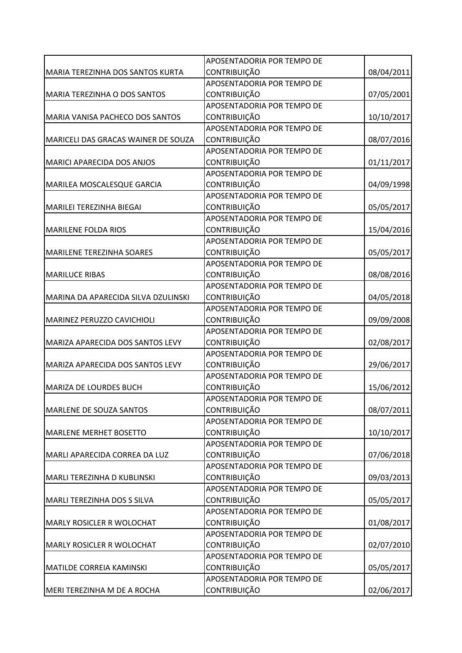|                                     | APOSENTADORIA POR TEMPO DE |            |
|-------------------------------------|----------------------------|------------|
| MARIA TEREZINHA DOS SANTOS KURTA    | <b>CONTRIBUIÇÃO</b>        | 08/04/2011 |
|                                     | APOSENTADORIA POR TEMPO DE |            |
| MARIA TEREZINHA O DOS SANTOS        | <b>CONTRIBUIÇÃO</b>        | 07/05/2001 |
|                                     | APOSENTADORIA POR TEMPO DE |            |
| MARIA VANISA PACHECO DOS SANTOS     | <b>CONTRIBUIÇÃO</b>        | 10/10/2017 |
|                                     | APOSENTADORIA POR TEMPO DE |            |
| MARICELI DAS GRACAS WAINER DE SOUZA | <b>CONTRIBUIÇÃO</b>        | 08/07/2016 |
|                                     | APOSENTADORIA POR TEMPO DE |            |
| <b>MARICI APARECIDA DOS ANJOS</b>   | <b>CONTRIBUIÇÃO</b>        | 01/11/2017 |
|                                     | APOSENTADORIA POR TEMPO DE |            |
| MARILEA MOSCALESQUE GARCIA          | CONTRIBUIÇÃO               | 04/09/1998 |
|                                     | APOSENTADORIA POR TEMPO DE |            |
| MARILEI TEREZINHA BIEGAI            | <b>CONTRIBUIÇÃO</b>        | 05/05/2017 |
|                                     | APOSENTADORIA POR TEMPO DE |            |
| <b>MARILENE FOLDA RIOS</b>          | CONTRIBUIÇÃO               | 15/04/2016 |
|                                     | APOSENTADORIA POR TEMPO DE |            |
| MARILENE TEREZINHA SOARES           | <b>CONTRIBUIÇÃO</b>        | 05/05/2017 |
|                                     | APOSENTADORIA POR TEMPO DE |            |
| <b>MARILUCE RIBAS</b>               | <b>CONTRIBUIÇÃO</b>        | 08/08/2016 |
|                                     | APOSENTADORIA POR TEMPO DE |            |
| MARINA DA APARECIDA SILVA DZULINSKI | CONTRIBUIÇÃO               | 04/05/2018 |
|                                     | APOSENTADORIA POR TEMPO DE |            |
| MARINEZ PERUZZO CAVICHIOLI          | <b>CONTRIBUIÇÃO</b>        | 09/09/2008 |
|                                     | APOSENTADORIA POR TEMPO DE |            |
| MARIZA APARECIDA DOS SANTOS LEVY    | CONTRIBUIÇÃO               | 02/08/2017 |
|                                     | APOSENTADORIA POR TEMPO DE |            |
| MARIZA APARECIDA DOS SANTOS LEVY    | <b>CONTRIBUIÇÃO</b>        | 29/06/2017 |
|                                     | APOSENTADORIA POR TEMPO DE |            |
| MARIZA DE LOURDES BUCH              | <b>CONTRIBUIÇÃO</b>        | 15/06/2012 |
|                                     | APOSENTADORIA POR TEMPO DE |            |
| <b>MARLENE DE SOUZA SANTOS</b>      | <b>CONTRIBUIÇÃO</b>        | 08/07/2011 |
|                                     | APOSENTADORIA POR TEMPO DE |            |
| <b>MARLENE MERHET BOSETTO</b>       | CONTRIBUIÇÃO               | 10/10/2017 |
|                                     | APOSENTADORIA POR TEMPO DE |            |
| MARLI APARECIDA CORREA DA LUZ       | <b>CONTRIBUIÇÃO</b>        | 07/06/2018 |
|                                     | APOSENTADORIA POR TEMPO DE |            |
| MARLI TEREZINHA D KUBLINSKI         | CONTRIBUIÇÃO               | 09/03/2013 |
|                                     | APOSENTADORIA POR TEMPO DE |            |
| MARLI TEREZINHA DOS S SILVA         | <b>CONTRIBUIÇÃO</b>        | 05/05/2017 |
|                                     | APOSENTADORIA POR TEMPO DE |            |
| MARLY ROSICLER R WOLOCHAT           | <b>CONTRIBUIÇÃO</b>        | 01/08/2017 |
|                                     | APOSENTADORIA POR TEMPO DE |            |
| <b>MARLY ROSICLER R WOLOCHAT</b>    | <b>CONTRIBUIÇÃO</b>        | 02/07/2010 |
|                                     | APOSENTADORIA POR TEMPO DE |            |
| <b>MATILDE CORREIA KAMINSKI</b>     | <b>CONTRIBUIÇÃO</b>        | 05/05/2017 |
|                                     | APOSENTADORIA POR TEMPO DE |            |
| MERI TEREZINHA M DE A ROCHA         | CONTRIBUIÇÃO               | 02/06/2017 |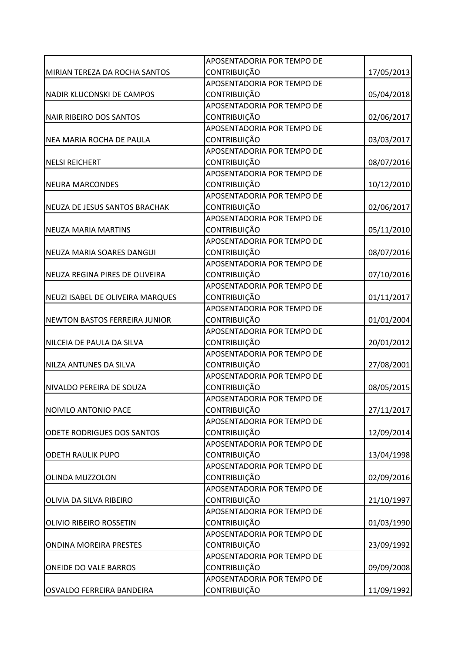|                                      | APOSENTADORIA POR TEMPO DE |            |
|--------------------------------------|----------------------------|------------|
| MIRIAN TEREZA DA ROCHA SANTOS        | <b>CONTRIBUIÇÃO</b>        | 17/05/2013 |
|                                      | APOSENTADORIA POR TEMPO DE |            |
| NADIR KLUCONSKI DE CAMPOS            | <b>CONTRIBUIÇÃO</b>        | 05/04/2018 |
|                                      | APOSENTADORIA POR TEMPO DE |            |
| <b>NAIR RIBEIRO DOS SANTOS</b>       | <b>CONTRIBUIÇÃO</b>        | 02/06/2017 |
|                                      | APOSENTADORIA POR TEMPO DE |            |
| NEA MARIA ROCHA DE PAULA             | <b>CONTRIBUIÇÃO</b>        | 03/03/2017 |
|                                      | APOSENTADORIA POR TEMPO DE |            |
| <b>NELSI REICHERT</b>                | <b>CONTRIBUIÇÃO</b>        | 08/07/2016 |
|                                      | APOSENTADORIA POR TEMPO DE |            |
| <b>NEURA MARCONDES</b>               | CONTRIBUIÇÃO               | 10/12/2010 |
|                                      | APOSENTADORIA POR TEMPO DE |            |
| NEUZA DE JESUS SANTOS BRACHAK        | <b>CONTRIBUIÇÃO</b>        | 02/06/2017 |
|                                      | APOSENTADORIA POR TEMPO DE |            |
| <b>NEUZA MARIA MARTINS</b>           | CONTRIBUIÇÃO               | 05/11/2010 |
|                                      | APOSENTADORIA POR TEMPO DE |            |
| <b>NEUZA MARIA SOARES DANGUI</b>     | CONTRIBUIÇÃO               | 08/07/2016 |
|                                      | APOSENTADORIA POR TEMPO DE |            |
| NEUZA REGINA PIRES DE OLIVEIRA       | <b>CONTRIBUIÇÃO</b>        | 07/10/2016 |
|                                      | APOSENTADORIA POR TEMPO DE |            |
| NEUZI ISABEL DE OLIVEIRA MARQUES     | <b>CONTRIBUIÇÃO</b>        | 01/11/2017 |
|                                      | APOSENTADORIA POR TEMPO DE |            |
| <b>NEWTON BASTOS FERREIRA JUNIOR</b> | CONTRIBUIÇÃO               | 01/01/2004 |
|                                      | APOSENTADORIA POR TEMPO DE |            |
| NILCEIA DE PAULA DA SILVA            | CONTRIBUIÇÃO               | 20/01/2012 |
|                                      | APOSENTADORIA POR TEMPO DE |            |
| NILZA ANTUNES DA SILVA               | <b>CONTRIBUIÇÃO</b>        | 27/08/2001 |
|                                      | APOSENTADORIA POR TEMPO DE |            |
| NIVALDO PEREIRA DE SOUZA             | <b>CONTRIBUIÇÃO</b>        | 08/05/2015 |
|                                      | APOSENTADORIA POR TEMPO DE |            |
| NOIVILO ANTONIO PACE                 | <b>CONTRIBUIÇÃO</b>        | 27/11/2017 |
|                                      | APOSENTADORIA POR TEMPO DE |            |
| <b>ODETE RODRIGUES DOS SANTOS</b>    | CONTRIBUIÇÃO               | 12/09/2014 |
|                                      | APOSENTADORIA POR TEMPO DE |            |
| <b>ODETH RAULIK PUPO</b>             | <b>CONTRIBUIÇÃO</b>        | 13/04/1998 |
|                                      | APOSENTADORIA POR TEMPO DE |            |
| OLINDA MUZZOLON                      | CONTRIBUIÇÃO               | 02/09/2016 |
|                                      | APOSENTADORIA POR TEMPO DE |            |
| OLIVIA DA SILVA RIBEIRO              | <b>CONTRIBUIÇÃO</b>        | 21/10/1997 |
|                                      | APOSENTADORIA POR TEMPO DE |            |
| OLIVIO RIBEIRO ROSSETIN              | <b>CONTRIBUIÇÃO</b>        | 01/03/1990 |
|                                      | APOSENTADORIA POR TEMPO DE |            |
| <b>ONDINA MOREIRA PRESTES</b>        | <b>CONTRIBUIÇÃO</b>        | 23/09/1992 |
|                                      | APOSENTADORIA POR TEMPO DE |            |
| <b>ONEIDE DO VALE BARROS</b>         | <b>CONTRIBUIÇÃO</b>        | 09/09/2008 |
|                                      | APOSENTADORIA POR TEMPO DE |            |
| OSVALDO FERREIRA BANDEIRA            | CONTRIBUIÇÃO               | 11/09/1992 |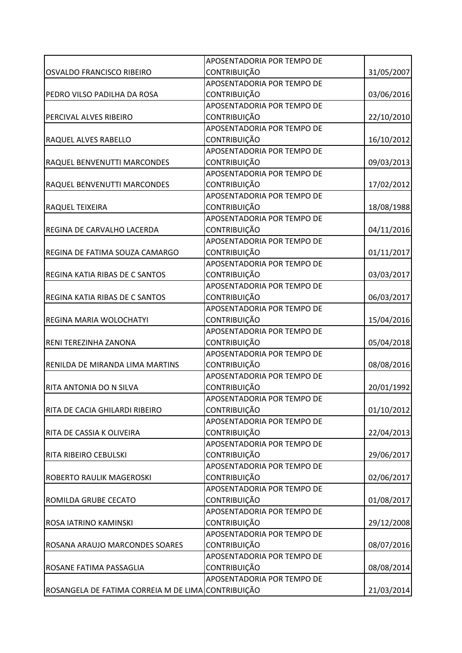|                                                    | APOSENTADORIA POR TEMPO DE |            |
|----------------------------------------------------|----------------------------|------------|
| OSVALDO FRANCISCO RIBEIRO                          | <b>CONTRIBUIÇÃO</b>        | 31/05/2007 |
|                                                    | APOSENTADORIA POR TEMPO DE |            |
| PEDRO VILSO PADILHA DA ROSA                        | CONTRIBUIÇÃO               | 03/06/2016 |
|                                                    | APOSENTADORIA POR TEMPO DE |            |
| PERCIVAL ALVES RIBEIRO                             | CONTRIBUIÇÃO               | 22/10/2010 |
|                                                    | APOSENTADORIA POR TEMPO DE |            |
| RAQUEL ALVES RABELLO                               | <b>CONTRIBUIÇÃO</b>        | 16/10/2012 |
|                                                    | APOSENTADORIA POR TEMPO DE |            |
| RAQUEL BENVENUTTI MARCONDES                        | <b>CONTRIBUIÇÃO</b>        | 09/03/2013 |
|                                                    | APOSENTADORIA POR TEMPO DE |            |
| RAQUEL BENVENUTTI MARCONDES                        | CONTRIBUIÇÃO               | 17/02/2012 |
|                                                    | APOSENTADORIA POR TEMPO DE |            |
| RAQUEL TEIXEIRA                                    | <b>CONTRIBUIÇÃO</b>        | 18/08/1988 |
|                                                    | APOSENTADORIA POR TEMPO DE |            |
| REGINA DE CARVALHO LACERDA                         | CONTRIBUIÇÃO               | 04/11/2016 |
|                                                    | APOSENTADORIA POR TEMPO DE |            |
| REGINA DE FATIMA SOUZA CAMARGO                     | CONTRIBUIÇÃO               | 01/11/2017 |
|                                                    | APOSENTADORIA POR TEMPO DE |            |
| <b>REGINA KATIA RIBAS DE C SANTOS</b>              | <b>CONTRIBUIÇÃO</b>        | 03/03/2017 |
|                                                    | APOSENTADORIA POR TEMPO DE |            |
| REGINA KATIA RIBAS DE C SANTOS                     | <b>CONTRIBUIÇÃO</b>        | 06/03/2017 |
|                                                    | APOSENTADORIA POR TEMPO DE |            |
| REGINA MARIA WOLOCHATYI                            | <b>CONTRIBUIÇÃO</b>        | 15/04/2016 |
|                                                    | APOSENTADORIA POR TEMPO DE |            |
| RENI TEREZINHA ZANONA                              | CONTRIBUIÇÃO               | 05/04/2018 |
|                                                    | APOSENTADORIA POR TEMPO DE |            |
| RENILDA DE MIRANDA LIMA MARTINS                    | <b>CONTRIBUIÇÃO</b>        | 08/08/2016 |
|                                                    | APOSENTADORIA POR TEMPO DE |            |
| RITA ANTONIA DO N SILVA                            | <b>CONTRIBUIÇÃO</b>        | 20/01/1992 |
|                                                    | APOSENTADORIA POR TEMPO DE |            |
| RITA DE CACIA GHILARDI RIBEIRO                     | <b>CONTRIBUIÇÃO</b>        | 01/10/2012 |
|                                                    | APOSENTADORIA POR TEMPO DE |            |
| RITA DE CASSIA K OLIVEIRA                          | CONTRIBUIÇÃO               | 22/04/2013 |
|                                                    | APOSENTADORIA POR TEMPO DE |            |
| RITA RIBEIRO CEBULSKI                              | <b>CONTRIBUIÇÃO</b>        | 29/06/2017 |
|                                                    | APOSENTADORIA POR TEMPO DE |            |
| <b>ROBERTO RAULIK MAGEROSKI</b>                    | CONTRIBUIÇÃO               | 02/06/2017 |
|                                                    | APOSENTADORIA POR TEMPO DE |            |
| ROMILDA GRUBE CECATO                               | <b>CONTRIBUIÇÃO</b>        | 01/08/2017 |
|                                                    | APOSENTADORIA POR TEMPO DE |            |
| ROSA IATRINO KAMINSKI                              | <b>CONTRIBUIÇÃO</b>        | 29/12/2008 |
|                                                    | APOSENTADORIA POR TEMPO DE |            |
| ROSANA ARAUJO MARCONDES SOARES                     | <b>CONTRIBUIÇÃO</b>        | 08/07/2016 |
|                                                    | APOSENTADORIA POR TEMPO DE |            |
| ROSANE FATIMA PASSAGLIA                            | <b>CONTRIBUIÇÃO</b>        | 08/08/2014 |
|                                                    | APOSENTADORIA POR TEMPO DE |            |
| ROSANGELA DE FATIMA CORREIA M DE LIMA CONTRIBUIÇÃO |                            | 21/03/2014 |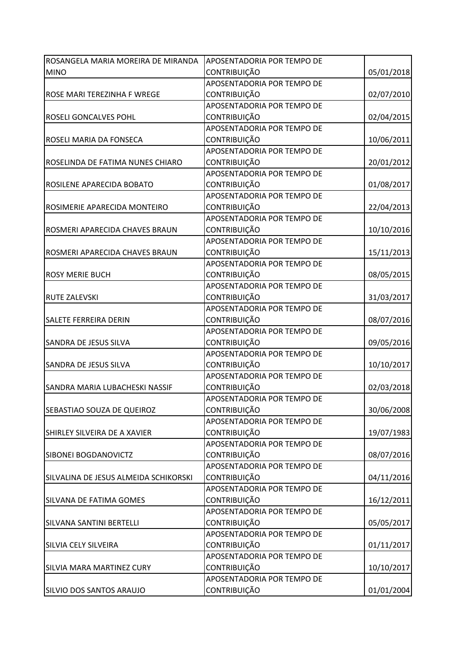| ROSANGELA MARIA MOREIRA DE MIRANDA    | APOSENTADORIA POR TEMPO DE |            |
|---------------------------------------|----------------------------|------------|
| <b>MINO</b>                           | <b>CONTRIBUIÇÃO</b>        | 05/01/2018 |
|                                       | APOSENTADORIA POR TEMPO DE |            |
| ROSE MARI TEREZINHA F WREGE           | <b>CONTRIBUIÇÃO</b>        | 02/07/2010 |
|                                       | APOSENTADORIA POR TEMPO DE |            |
| ROSELI GONCALVES POHL                 | <b>CONTRIBUIÇÃO</b>        | 02/04/2015 |
|                                       | APOSENTADORIA POR TEMPO DE |            |
| ROSELI MARIA DA FONSECA               | <b>CONTRIBUIÇÃO</b>        | 10/06/2011 |
|                                       | APOSENTADORIA POR TEMPO DE |            |
| ROSELINDA DE FATIMA NUNES CHIARO      | <b>CONTRIBUIÇÃO</b>        | 20/01/2012 |
|                                       | APOSENTADORIA POR TEMPO DE |            |
| ROSILENE APARECIDA BOBATO             | CONTRIBUIÇÃO               | 01/08/2017 |
|                                       | APOSENTADORIA POR TEMPO DE |            |
| ROSIMERIE APARECIDA MONTEIRO          | <b>CONTRIBUIÇÃO</b>        | 22/04/2013 |
|                                       | APOSENTADORIA POR TEMPO DE |            |
| ROSMERI APARECIDA CHAVES BRAUN        | CONTRIBUIÇÃO               | 10/10/2016 |
|                                       | APOSENTADORIA POR TEMPO DE |            |
| ROSMERI APARECIDA CHAVES BRAUN        | <b>CONTRIBUIÇÃO</b>        | 15/11/2013 |
|                                       | APOSENTADORIA POR TEMPO DE |            |
| <b>ROSY MERIE BUCH</b>                | <b>CONTRIBUIÇÃO</b>        | 08/05/2015 |
|                                       | APOSENTADORIA POR TEMPO DE |            |
| <b>RUTE ZALEVSKI</b>                  | <b>CONTRIBUIÇÃO</b>        | 31/03/2017 |
|                                       | APOSENTADORIA POR TEMPO DE |            |
| <b>SALETE FERREIRA DERIN</b>          | <b>CONTRIBUIÇÃO</b>        | 08/07/2016 |
|                                       | APOSENTADORIA POR TEMPO DE |            |
| SANDRA DE JESUS SILVA                 | CONTRIBUIÇÃO               | 09/05/2016 |
|                                       | APOSENTADORIA POR TEMPO DE |            |
| SANDRA DE JESUS SILVA                 | <b>CONTRIBUIÇÃO</b>        | 10/10/2017 |
|                                       | APOSENTADORIA POR TEMPO DE |            |
| SANDRA MARIA LUBACHESKI NASSIF        | CONTRIBUIÇÃO               | 02/03/2018 |
|                                       | APOSENTADORIA POR TEMPO DE |            |
| SEBASTIAO SOUZA DE QUEIROZ            | <b>CONTRIBUIÇÃO</b>        | 30/06/2008 |
|                                       | APOSENTADORIA POR TEMPO DE |            |
| SHIRLEY SILVEIRA DE A XAVIER          | <b>CONTRIBUIÇÃO</b>        | 19/07/1983 |
|                                       | APOSENTADORIA POR TEMPO DE |            |
| SIBONEI BOGDANOVICTZ                  | <b>CONTRIBUIÇÃO</b>        | 08/07/2016 |
|                                       | APOSENTADORIA POR TEMPO DE |            |
| SILVALINA DE JESUS ALMEIDA SCHIKORSKI | CONTRIBUIÇÃO               | 04/11/2016 |
|                                       | APOSENTADORIA POR TEMPO DE |            |
| SILVANA DE FATIMA GOMES               | <b>CONTRIBUIÇÃO</b>        | 16/12/2011 |
|                                       | APOSENTADORIA POR TEMPO DE |            |
| SILVANA SANTINI BERTELLI              | <b>CONTRIBUIÇÃO</b>        | 05/05/2017 |
|                                       | APOSENTADORIA POR TEMPO DE |            |
| SILVIA CELY SILVEIRA                  | <b>CONTRIBUIÇÃO</b>        | 01/11/2017 |
|                                       | APOSENTADORIA POR TEMPO DE |            |
| SILVIA MARA MARTINEZ CURY             | <b>CONTRIBUIÇÃO</b>        | 10/10/2017 |
|                                       | APOSENTADORIA POR TEMPO DE |            |
| SILVIO DOS SANTOS ARAUJO              | CONTRIBUIÇÃO               | 01/01/2004 |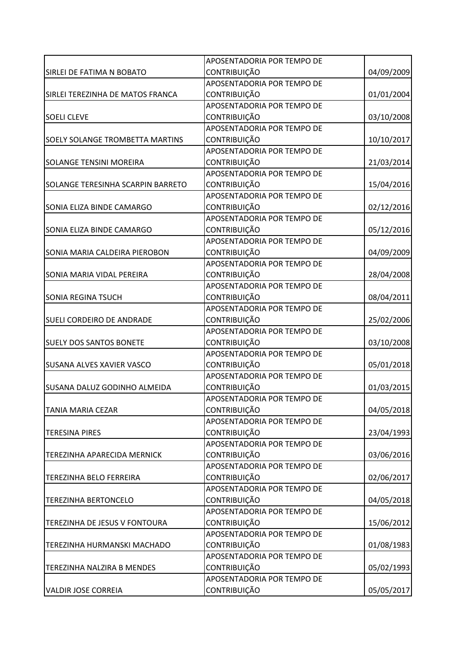|                                        | APOSENTADORIA POR TEMPO DE |            |
|----------------------------------------|----------------------------|------------|
| SIRLEI DE FATIMA N BOBATO              | <b>CONTRIBUIÇÃO</b>        | 04/09/2009 |
|                                        | APOSENTADORIA POR TEMPO DE |            |
| SIRLEI TEREZINHA DE MATOS FRANCA       | <b>CONTRIBUIÇÃO</b>        | 01/01/2004 |
|                                        | APOSENTADORIA POR TEMPO DE |            |
| <b>SOELI CLEVE</b>                     | <b>CONTRIBUIÇÃO</b>        | 03/10/2008 |
|                                        | APOSENTADORIA POR TEMPO DE |            |
| <b>SOELY SOLANGE TROMBETTA MARTINS</b> | CONTRIBUIÇÃO               | 10/10/2017 |
|                                        | APOSENTADORIA POR TEMPO DE |            |
| <b>SOLANGE TENSINI MOREIRA</b>         | <b>CONTRIBUIÇÃO</b>        | 21/03/2014 |
|                                        | APOSENTADORIA POR TEMPO DE |            |
| SOLANGE TERESINHA SCARPIN BARRETO      | CONTRIBUIÇÃO               | 15/04/2016 |
|                                        | APOSENTADORIA POR TEMPO DE |            |
| SONIA ELIZA BINDE CAMARGO              | <b>CONTRIBUIÇÃO</b>        | 02/12/2016 |
|                                        | APOSENTADORIA POR TEMPO DE |            |
| SONIA ELIZA BINDE CAMARGO              | CONTRIBUIÇÃO               | 05/12/2016 |
|                                        | APOSENTADORIA POR TEMPO DE |            |
| SONIA MARIA CALDEIRA PIEROBON          | <b>CONTRIBUIÇÃO</b>        | 04/09/2009 |
|                                        | APOSENTADORIA POR TEMPO DE |            |
| SONIA MARIA VIDAL PEREIRA              | <b>CONTRIBUIÇÃO</b>        | 28/04/2008 |
|                                        | APOSENTADORIA POR TEMPO DE |            |
| <b>SONIA REGINA TSUCH</b>              | <b>CONTRIBUIÇÃO</b>        | 08/04/2011 |
|                                        | APOSENTADORIA POR TEMPO DE |            |
| <b>SUELI CORDEIRO DE ANDRADE</b>       | <b>CONTRIBUIÇÃO</b>        | 25/02/2006 |
|                                        | APOSENTADORIA POR TEMPO DE |            |
| <b>SUELY DOS SANTOS BONETE</b>         | CONTRIBUIÇÃO               | 03/10/2008 |
|                                        | APOSENTADORIA POR TEMPO DE |            |
| <b>SUSANA ALVES XAVIER VASCO</b>       | <b>CONTRIBUIÇÃO</b>        | 05/01/2018 |
|                                        | APOSENTADORIA POR TEMPO DE |            |
| <b>SUSANA DALUZ GODINHO ALMEIDA</b>    | <b>CONTRIBUIÇÃO</b>        | 01/03/2015 |
|                                        | APOSENTADORIA POR TEMPO DE |            |
| <b>TANIA MARIA CEZAR</b>               | <b>CONTRIBUIÇÃO</b>        | 04/05/2018 |
|                                        | APOSENTADORIA POR TEMPO DE |            |
| <b>TERESINA PIRES</b>                  | CONTRIBUIÇÃO               | 23/04/1993 |
|                                        | APOSENTADORIA POR TEMPO DE |            |
| TEREZINHA APARECIDA MERNICK            | <b>CONTRIBUIÇÃO</b>        | 03/06/2016 |
|                                        | APOSENTADORIA POR TEMPO DE |            |
| TEREZINHA BELO FERREIRA                | CONTRIBUIÇÃO               | 02/06/2017 |
|                                        | APOSENTADORIA POR TEMPO DE |            |
| <b>TEREZINHA BERTONCELO</b>            | <b>CONTRIBUIÇÃO</b>        | 04/05/2018 |
|                                        | APOSENTADORIA POR TEMPO DE |            |
| TEREZINHA DE JESUS V FONTOURA          | <b>CONTRIBUIÇÃO</b>        | 15/06/2012 |
|                                        | APOSENTADORIA POR TEMPO DE |            |
| TEREZINHA HURMANSKI MACHADO            | <b>CONTRIBUIÇÃO</b>        | 01/08/1983 |
|                                        | APOSENTADORIA POR TEMPO DE |            |
| TEREZINHA NALZIRA B MENDES             | <b>CONTRIBUIÇÃO</b>        | 05/02/1993 |
|                                        | APOSENTADORIA POR TEMPO DE |            |
| <b>VALDIR JOSE CORREIA</b>             | CONTRIBUIÇÃO               | 05/05/2017 |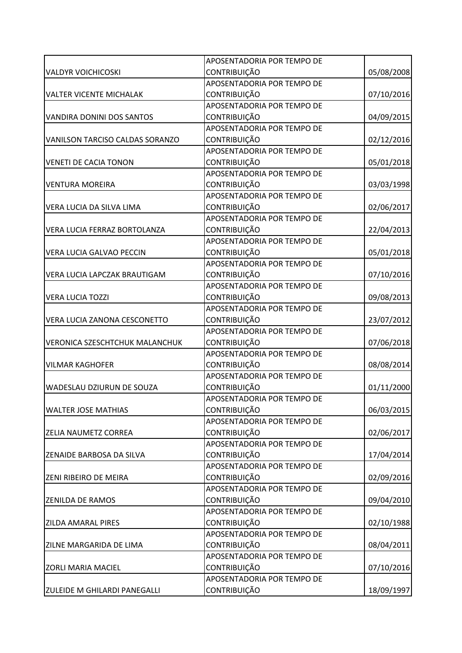|                                       | APOSENTADORIA POR TEMPO DE |            |
|---------------------------------------|----------------------------|------------|
| <b>VALDYR VOICHICOSKI</b>             | <b>CONTRIBUIÇÃO</b>        | 05/08/2008 |
|                                       | APOSENTADORIA POR TEMPO DE |            |
| <b>VALTER VICENTE MICHALAK</b>        | CONTRIBUIÇÃO               | 07/10/2016 |
|                                       | APOSENTADORIA POR TEMPO DE |            |
| <b>VANDIRA DONINI DOS SANTOS</b>      | CONTRIBUIÇÃO               | 04/09/2015 |
|                                       | APOSENTADORIA POR TEMPO DE |            |
| VANILSON TARCISO CALDAS SORANZO       | <b>CONTRIBUIÇÃO</b>        | 02/12/2016 |
|                                       | APOSENTADORIA POR TEMPO DE |            |
| <b>VENETI DE CACIA TONON</b>          | <b>CONTRIBUIÇÃO</b>        | 05/01/2018 |
|                                       | APOSENTADORIA POR TEMPO DE |            |
| <b>VENTURA MOREIRA</b>                | CONTRIBUIÇÃO               | 03/03/1998 |
|                                       | APOSENTADORIA POR TEMPO DE |            |
| VERA LUCIA DA SILVA LIMA              | <b>CONTRIBUIÇÃO</b>        | 02/06/2017 |
|                                       | APOSENTADORIA POR TEMPO DE |            |
| VERA LUCIA FERRAZ BORTOLANZA          | <b>CONTRIBUIÇÃO</b>        | 22/04/2013 |
|                                       | APOSENTADORIA POR TEMPO DE |            |
| <b>VERA LUCIA GALVAO PECCIN</b>       | CONTRIBUIÇÃO               | 05/01/2018 |
|                                       | APOSENTADORIA POR TEMPO DE |            |
| <b>VERA LUCIA LAPCZAK BRAUTIGAM</b>   | <b>CONTRIBUIÇÃO</b>        | 07/10/2016 |
|                                       | APOSENTADORIA POR TEMPO DE |            |
| <b>VERA LUCIA TOZZI</b>               | <b>CONTRIBUIÇÃO</b>        | 09/08/2013 |
|                                       | APOSENTADORIA POR TEMPO DE |            |
| VERA LUCIA ZANONA CESCONETTO          | <b>CONTRIBUIÇÃO</b>        | 23/07/2012 |
|                                       | APOSENTADORIA POR TEMPO DE |            |
| <b>VERONICA SZESCHTCHUK MALANCHUK</b> | CONTRIBUIÇÃO               | 07/06/2018 |
|                                       | APOSENTADORIA POR TEMPO DE |            |
| <b>VILMAR KAGHOFER</b>                | <b>CONTRIBUIÇÃO</b>        | 08/08/2014 |
|                                       | APOSENTADORIA POR TEMPO DE |            |
| WADESLAU DZIURUN DE SOUZA             | <b>CONTRIBUIÇÃO</b>        | 01/11/2000 |
|                                       | APOSENTADORIA POR TEMPO DE |            |
| <b>WALTER JOSE MATHIAS</b>            | <b>CONTRIBUIÇÃO</b>        | 06/03/2015 |
|                                       | APOSENTADORIA POR TEMPO DE |            |
| <b>ZELIA NAUMETZ CORREA</b>           | <b>CONTRIBUIÇÃO</b>        | 02/06/2017 |
|                                       | APOSENTADORIA POR TEMPO DE |            |
| <b>ZENAIDE BARBOSA DA SILVA</b>       | <b>CONTRIBUIÇÃO</b>        | 17/04/2014 |
|                                       | APOSENTADORIA POR TEMPO DE |            |
| <b>ZENI RIBEIRO DE MEIRA</b>          | CONTRIBUIÇÃO               | 02/09/2016 |
|                                       | APOSENTADORIA POR TEMPO DE |            |
| <b>ZENILDA DE RAMOS</b>               | <b>CONTRIBUIÇÃO</b>        | 09/04/2010 |
|                                       | APOSENTADORIA POR TEMPO DE |            |
| <b>ZILDA AMARAL PIRES</b>             | <b>CONTRIBUIÇÃO</b>        | 02/10/1988 |
|                                       | APOSENTADORIA POR TEMPO DE |            |
| ZILNE MARGARIDA DE LIMA               | <b>CONTRIBUIÇÃO</b>        | 08/04/2011 |
|                                       | APOSENTADORIA POR TEMPO DE |            |
| <b>ZORLI MARIA MACIEL</b>             | <b>CONTRIBUIÇÃO</b>        | 07/10/2016 |
|                                       | APOSENTADORIA POR TEMPO DE |            |
| <b>ZULEIDE M GHILARDI PANEGALLI</b>   | CONTRIBUIÇÃO               | 18/09/1997 |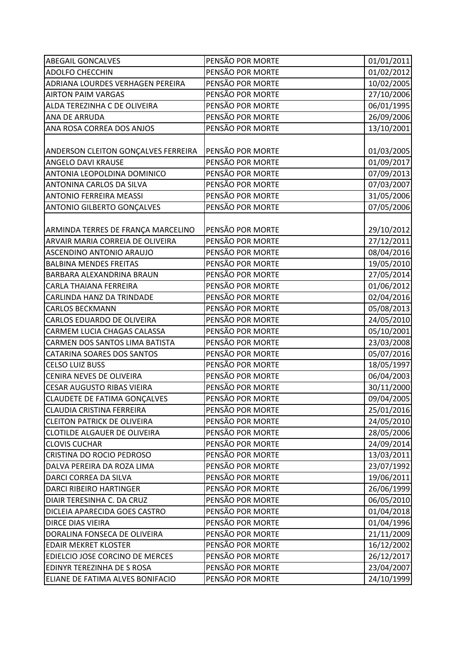| <b>ABEGAIL GONCALVES</b>            | PENSÃO POR MORTE | 01/01/2011 |
|-------------------------------------|------------------|------------|
| <b>ADOLFO CHECCHIN</b>              | PENSÃO POR MORTE | 01/02/2012 |
| ADRIANA LOURDES VERHAGEN PEREIRA    | PENSÃO POR MORTE | 10/02/2005 |
| <b>AIRTON PAIM VARGAS</b>           | PENSÃO POR MORTE | 27/10/2006 |
| ALDA TEREZINHA C DE OLIVEIRA        | PENSÃO POR MORTE | 06/01/1995 |
| ANA DE ARRUDA                       | PENSÃO POR MORTE | 26/09/2006 |
| ANA ROSA CORREA DOS ANJOS           | PENSÃO POR MORTE | 13/10/2001 |
|                                     |                  |            |
| ANDERSON CLEITON GONÇALVES FERREIRA | PENSÃO POR MORTE | 01/03/2005 |
| ANGELO DAVI KRAUSE                  | PENSÃO POR MORTE | 01/09/2017 |
| ANTONIA LEOPOLDINA DOMINICO         | PENSÃO POR MORTE | 07/09/2013 |
| ANTONINA CARLOS DA SILVA            | PENSÃO POR MORTE | 07/03/2007 |
| <b>ANTONIO FERREIRA MEASSI</b>      | PENSÃO POR MORTE | 31/05/2006 |
| <b>ANTONIO GILBERTO GONÇALVES</b>   | PENSÃO POR MORTE | 07/05/2006 |
|                                     |                  |            |
| ARMINDA TERRES DE FRANÇA MARCELINO  | PENSÃO POR MORTE | 29/10/2012 |
| ARVAIR MARIA CORREIA DE OLIVEIRA    | PENSÃO POR MORTE | 27/12/2011 |
| ASCENDINO ANTONIO ARAUJO            | PENSÃO POR MORTE | 08/04/2016 |
| <b>BALBINA MENDES FREITAS</b>       | PENSÃO POR MORTE | 19/05/2010 |
| BARBARA ALEXANDRINA BRAUN           | PENSÃO POR MORTE | 27/05/2014 |
| CARLA THAIANA FERREIRA              | PENSÃO POR MORTE | 01/06/2012 |
| CARLINDA HANZ DA TRINDADE           | PENSÃO POR MORTE | 02/04/2016 |
| <b>CARLOS BECKMANN</b>              | PENSÃO POR MORTE | 05/08/2013 |
| CARLOS EDUARDO DE OLIVEIRA          | PENSÃO POR MORTE | 24/05/2010 |
| CARMEM LUCIA CHAGAS CALASSA         | PENSÃO POR MORTE | 05/10/2001 |
| CARMEN DOS SANTOS LIMA BATISTA      | PENSÃO POR MORTE | 23/03/2008 |
| <b>CATARINA SOARES DOS SANTOS</b>   | PENSÃO POR MORTE | 05/07/2016 |
| <b>CELSO LUIZ BUSS</b>              | PENSÃO POR MORTE | 18/05/1997 |
| CENIRA NEVES DE OLIVEIRA            | PENSÃO POR MORTE | 06/04/2003 |
| <b>CESAR AUGUSTO RIBAS VIEIRA</b>   | PENSÃO POR MORTE | 30/11/2000 |
| <b>CLAUDETE DE FATIMA GONÇALVES</b> | PENSÃO POR MORTE | 09/04/2005 |
| <b>CLAUDIA CRISTINA FERREIRA</b>    | PENSÃO POR MORTE | 25/01/2016 |
| <b>CLEITON PATRICK DE OLIVEIRA</b>  | PENSÃO POR MORTE | 24/05/2010 |
| <b>CLOTILDE ALGAUER DE OLIVEIRA</b> | PENSÃO POR MORTE | 28/05/2006 |
| <b>CLOVIS CUCHAR</b>                | PENSÃO POR MORTE | 24/09/2014 |
| CRISTINA DO ROCIO PEDROSO           | PENSÃO POR MORTE | 13/03/2011 |
| DALVA PEREIRA DA ROZA LIMA          | PENSÃO POR MORTE | 23/07/1992 |
| DARCI CORREA DA SILVA               | PENSÃO POR MORTE | 19/06/2011 |
| <b>DARCI RIBEIRO HARTINGER</b>      | PENSÃO POR MORTE | 26/06/1999 |
| DIAIR TERESINHA C. DA CRUZ          | PENSÃO POR MORTE | 06/05/2010 |
| DICLEIA APARECIDA GOES CASTRO       | PENSÃO POR MORTE | 01/04/2018 |
| DIRCE DIAS VIEIRA                   | PENSÃO POR MORTE | 01/04/1996 |
| DORALINA FONSECA DE OLIVEIRA        | PENSÃO POR MORTE | 21/11/2009 |
| <b>EDAIR MEKRET KLOSTER</b>         | PENSÃO POR MORTE | 16/12/2002 |
| EDIELCIO JOSE CORCINO DE MERCES     | PENSÃO POR MORTE | 26/12/2017 |
| EDINYR TEREZINHA DE S ROSA          | PENSÃO POR MORTE | 23/04/2007 |
| ELIANE DE FATIMA ALVES BONIFACIO    | PENSÃO POR MORTE | 24/10/1999 |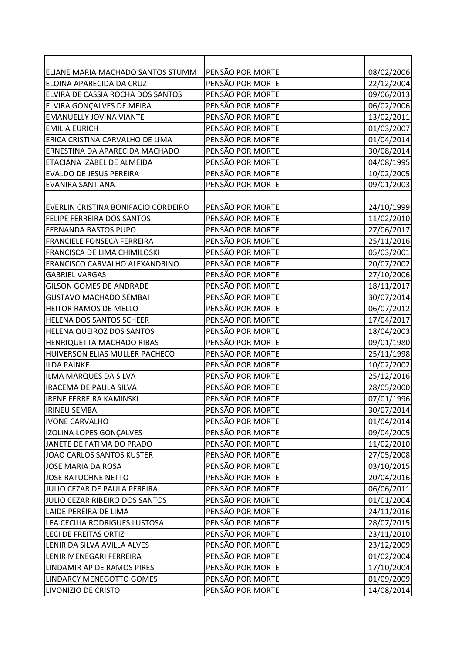| ELIANE MARIA MACHADO SANTOS STUMM   | PENSÃO POR MORTE | 08/02/2006 |
|-------------------------------------|------------------|------------|
| ELOINA APARECIDA DA CRUZ            | PENSÃO POR MORTE | 22/12/2004 |
| ELVIRA DE CASSIA ROCHA DOS SANTOS   | PENSÃO POR MORTE | 09/06/2013 |
| ELVIRA GONÇALVES DE MEIRA           | PENSÃO POR MORTE | 06/02/2006 |
| <b>EMANUELLY JOVINA VIANTE</b>      | PENSÃO POR MORTE | 13/02/2011 |
| <b>EMILIA EURICH</b>                | PENSÃO POR MORTE | 01/03/2007 |
| ERICA CRISTINA CARVALHO DE LIMA     | PENSÃO POR MORTE | 01/04/2014 |
| ERNESTINA DA APARECIDA MACHADO      | PENSÃO POR MORTE | 30/08/2014 |
| ETACIANA IZABEL DE ALMEIDA          | PENSÃO POR MORTE | 04/08/1995 |
| <b>EVALDO DE JESUS PEREIRA</b>      | PENSÃO POR MORTE | 10/02/2005 |
| <b>EVANIRA SANT ANA</b>             | PENSÃO POR MORTE | 09/01/2003 |
|                                     |                  |            |
| EVERLIN CRISTINA BONIFACIO CORDEIRO | PENSÃO POR MORTE | 24/10/1999 |
| <b>FELIPE FERREIRA DOS SANTOS</b>   | PENSÃO POR MORTE | 11/02/2010 |
| <b>FERNANDA BASTOS PUPO</b>         | PENSÃO POR MORTE | 27/06/2017 |
| <b>FRANCIELE FONSECA FERREIRA</b>   | PENSÃO POR MORTE | 25/11/2016 |
| FRANCISCA DE LIMA CHIMILOSKI        | PENSÃO POR MORTE | 05/03/2001 |
| FRANCISCO CARVALHO ALEXANDRINO      | PENSÃO POR MORTE | 20/07/2002 |
| <b>GABRIEL VARGAS</b>               | PENSÃO POR MORTE | 27/10/2006 |
| <b>GILSON GOMES DE ANDRADE</b>      | PENSÃO POR MORTE | 18/11/2017 |
| <b>GUSTAVO MACHADO SEMBAI</b>       | PENSÃO POR MORTE | 30/07/2014 |
| HEITOR RAMOS DE MELLO               | PENSÃO POR MORTE | 06/07/2012 |
| HELENA DOS SANTOS SCHEER            | PENSÃO POR MORTE | 17/04/2017 |
| HELENA QUEIROZ DOS SANTOS           | PENSÃO POR MORTE | 18/04/2003 |
| HENRIQUETTA MACHADO RIBAS           | PENSÃO POR MORTE | 09/01/1980 |
| HUIVERSON ELIAS MULLER PACHECO      | PENSÃO POR MORTE | 25/11/1998 |
| <b>ILDA PAINKE</b>                  | PENSÃO POR MORTE | 10/02/2002 |
| ILMA MARQUES DA SILVA               | PENSÃO POR MORTE | 25/12/2016 |
| <b>IRACEMA DE PAULA SILVA</b>       | PENSÃO POR MORTE | 28/05/2000 |
| <b>IRENE FERREIRA KAMINSKI</b>      | PENSÃO POR MORTE | 07/01/1996 |
| <b>IRINEU SEMBAI</b>                | PENSÃO POR MORTE | 30/07/2014 |
| <b>IVONE CARVALHO</b>               | PENSÃO POR MORTE | 01/04/2014 |
| IZOLINA LOPES GONÇALVES             | PENSÃO POR MORTE | 09/04/2005 |
| JANETE DE FATIMA DO PRADO           | PENSÃO POR MORTE | 11/02/2010 |
| JOAO CARLOS SANTOS KUSTER           | PENSÃO POR MORTE | 27/05/2008 |
| JOSE MARIA DA ROSA                  | PENSÃO POR MORTE | 03/10/2015 |
| JOSE RATUCHNE NETTO                 | PENSÃO POR MORTE | 20/04/2016 |
| JULIO CEZAR DE PAULA PEREIRA        | PENSÃO POR MORTE | 06/06/2011 |
| JULIO CEZAR RIBEIRO DOS SANTOS      | PENSÃO POR MORTE | 01/01/2004 |
| <b>LAIDE PEREIRA DE LIMA</b>        | PENSÃO POR MORTE | 24/11/2016 |
| LEA CECILIA RODRIGUES LUSTOSA       | PENSÃO POR MORTE | 28/07/2015 |
| LECI DE FREITAS ORTIZ               | PENSÃO POR MORTE | 23/11/2010 |
| LENIR DA SILVA AVILLA ALVES         | PENSÃO POR MORTE | 23/12/2009 |
| LENIR MENEGARI FERREIRA             | PENSÃO POR MORTE | 01/02/2004 |
| LINDAMIR AP DE RAMOS PIRES          | PENSÃO POR MORTE | 17/10/2004 |
| LINDARCY MENEGOTTO GOMES            | PENSÃO POR MORTE | 01/09/2009 |
| LIVONIZIO DE CRISTO                 | PENSÃO POR MORTE | 14/08/2014 |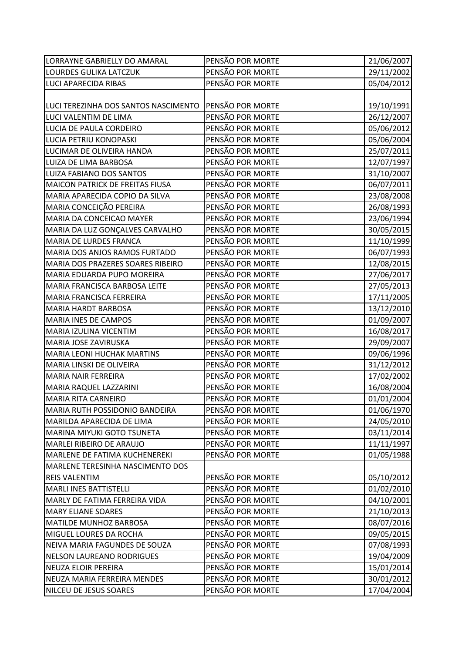| LORRAYNE GABRIELLY DO AMARAL                           | PENSÃO POR MORTE | 21/06/2007 |
|--------------------------------------------------------|------------------|------------|
| LOURDES GULIKA LATCZUK                                 | PENSÃO POR MORTE | 29/11/2002 |
| <b>LUCI APARECIDA RIBAS</b>                            | PENSÃO POR MORTE | 05/04/2012 |
|                                                        |                  |            |
| LUCI TEREZINHA DOS SANTOS NASCIMENTO PPENSÃO POR MORTE |                  | 19/10/1991 |
| LUCI VALENTIM DE LIMA                                  | PENSÃO POR MORTE | 26/12/2007 |
| LUCIA DE PAULA CORDEIRO                                | PENSÃO POR MORTE | 05/06/2012 |
| LUCIA PETRIU KONOPASKI                                 | PENSÃO POR MORTE | 05/06/2004 |
| LUCIMAR DE OLIVEIRA HANDA                              | PENSÃO POR MORTE | 25/07/2011 |
| LUIZA DE LIMA BARBOSA                                  | PENSÃO POR MORTE | 12/07/1997 |
| LUIZA FABIANO DOS SANTOS                               | PENSÃO POR MORTE | 31/10/2007 |
| <b>MAICON PATRICK DE FREITAS FIUSA</b>                 | PENSÃO POR MORTE | 06/07/2011 |
| MARIA APARECIDA COPIO DA SILVA                         | PENSÃO POR MORTE | 23/08/2008 |
| MARIA CONCEIÇÃO PEREIRA                                | PENSÃO POR MORTE | 26/08/1993 |
| MARIA DA CONCEICAO MAYER                               | PENSÃO POR MORTE | 23/06/1994 |
| MARIA DA LUZ GONÇALVES CARVALHO                        | PENSÃO POR MORTE | 30/05/2015 |
| MARIA DE LURDES FRANCA                                 | PENSÃO POR MORTE | 11/10/1999 |
| MARIA DOS ANJOS RAMOS FURTADO                          | PENSÃO POR MORTE | 06/07/1993 |
| MARIA DOS PRAZERES SOARES RIBEIRO                      | PENSÃO POR MORTE | 12/08/2015 |
| MARIA EDUARDA PUPO MOREIRA                             | PENSÃO POR MORTE | 27/06/2017 |
| MARIA FRANCISCA BARBOSA LEITE                          | PENSÃO POR MORTE | 27/05/2013 |
| MARIA FRANCISCA FERREIRA                               | PENSÃO POR MORTE | 17/11/2005 |
| <b>MARIA HARDT BARBOSA</b>                             | PENSÃO POR MORTE | 13/12/2010 |
| <b>MARIA INES DE CAMPOS</b>                            | PENSÃO POR MORTE | 01/09/2007 |
| MARIA IZULINA VICENTIM                                 | PENSÃO POR MORTE | 16/08/2017 |
| MARIA JOSE ZAVIRUSKA                                   | PENSÃO POR MORTE | 29/09/2007 |
| <b>MARIA LEONI HUCHAK MARTINS</b>                      | PENSÃO POR MORTE | 09/06/1996 |
| MARIA LINSKI DE OLIVEIRA                               | PENSÃO POR MORTE | 31/12/2012 |
| <b>MARIA NAIR FERREIRA</b>                             | PENSÃO POR MORTE | 17/02/2002 |
| MARIA RAQUEL LAZZARINI                                 | PENSÃO POR MORTE | 16/08/2004 |
| <b>MARIA RITA CARNEIRO</b>                             | PENSÃO POR MORTE | 01/01/2004 |
| MARIA RUTH POSSIDONIO BANDEIRA                         | PENSÃO POR MORTE | 01/06/1970 |
| MARILDA APARECIDA DE LIMA                              | PENSÃO POR MORTE | 24/05/2010 |
| MARINA MIYUKI GOTO TSUNETA                             | PENSÃO POR MORTE | 03/11/2014 |
| MARLEI RIBEIRO DE ARAUJO                               | PENSÃO POR MORTE | 11/11/1997 |
| MARLENE DE FATIMA KUCHENEREKI                          | PENSÃO POR MORTE | 01/05/1988 |
| MARLENE TERESINHA NASCIMENTO DOS                       |                  |            |
| <b>REIS VALENTIM</b>                                   | PENSÃO POR MORTE | 05/10/2012 |
| <b>MARLI INES BATTISTELLI</b>                          | PENSÃO POR MORTE | 01/02/2010 |
| MARLY DE FATIMA FERREIRA VIDA                          | PENSÃO POR MORTE | 04/10/2001 |
| <b>MARY ELIANE SOARES</b>                              | PENSÃO POR MORTE | 21/10/2013 |
| <b>MATILDE MUNHOZ BARBOSA</b>                          | PENSÃO POR MORTE | 08/07/2016 |
| MIGUEL LOURES DA ROCHA                                 | PENSÃO POR MORTE | 09/05/2015 |
| NEIVA MARIA FAGUNDES DE SOUZA                          | PENSÃO POR MORTE | 07/08/1993 |
| <b>NELSON LAUREANO RODRIGUES</b>                       | PENSÃO POR MORTE | 19/04/2009 |
| <b>NEUZA ELOIR PEREIRA</b>                             | PENSÃO POR MORTE | 15/01/2014 |
| NEUZA MARIA FERREIRA MENDES                            | PENSÃO POR MORTE | 30/01/2012 |
| NILCEU DE JESUS SOARES                                 | PENSÃO POR MORTE | 17/04/2004 |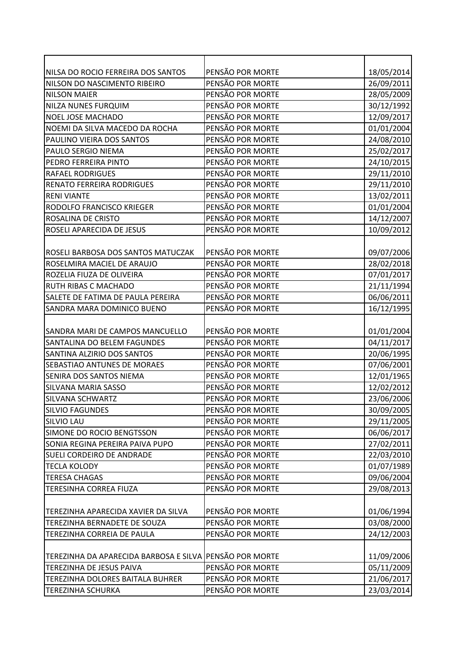| NILSA DO ROCIO FERREIRA DOS SANTOS                      | PENSÃO POR MORTE | 18/05/2014 |
|---------------------------------------------------------|------------------|------------|
| NILSON DO NASCIMENTO RIBEIRO                            | PENSÃO POR MORTE | 26/09/2011 |
| <b>NILSON MAIER</b>                                     | PENSÃO POR MORTE | 28/05/2009 |
| <b>NILZA NUNES FURQUIM</b>                              | PENSÃO POR MORTE | 30/12/1992 |
| NOEL JOSE MACHADO                                       | PENSÃO POR MORTE | 12/09/2017 |
| NOEMI DA SILVA MACEDO DA ROCHA                          | PENSÃO POR MORTE | 01/01/2004 |
| PAULINO VIEIRA DOS SANTOS                               | PENSÃO POR MORTE | 24/08/2010 |
| PAULO SERGIO NIEMA                                      | PENSÃO POR MORTE | 25/02/2017 |
| PEDRO FERREIRA PINTO                                    | PENSÃO POR MORTE | 24/10/2015 |
| <b>RAFAEL RODRIGUES</b>                                 | PENSÃO POR MORTE | 29/11/2010 |
| <b>RENATO FERREIRA RODRIGUES</b>                        | PENSÃO POR MORTE | 29/11/2010 |
| <b>RENI VIANTE</b>                                      | PENSÃO POR MORTE | 13/02/2011 |
| RODOLFO FRANCISCO KRIEGER                               | PENSÃO POR MORTE | 01/01/2004 |
| ROSALINA DE CRISTO                                      | PENSÃO POR MORTE | 14/12/2007 |
| ROSELI APARECIDA DE JESUS                               | PENSÃO POR MORTE | 10/09/2012 |
|                                                         |                  |            |
| ROSELI BARBOSA DOS SANTOS MATUCZAK                      | PENSÃO POR MORTE | 09/07/2006 |
| ROSELMIRA MACIEL DE ARAUJO                              | PENSÃO POR MORTE | 28/02/2018 |
| ROZELIA FIUZA DE OLIVEIRA                               | PENSÃO POR MORTE | 07/01/2017 |
| RUTH RIBAS C MACHADO                                    | PENSÃO POR MORTE | 21/11/1994 |
| SALETE DE FATIMA DE PAULA PEREIRA                       | PENSÃO POR MORTE | 06/06/2011 |
| SANDRA MARA DOMINICO BUENO                              | PENSÃO POR MORTE | 16/12/1995 |
|                                                         |                  |            |
| SANDRA MARI DE CAMPOS MANCUELLO                         | PENSÃO POR MORTE | 01/01/2004 |
| SANTALINA DO BELEM FAGUNDES                             | PENSÃO POR MORTE | 04/11/2017 |
| SANTINA ALZIRIO DOS SANTOS                              | PENSÃO POR MORTE | 20/06/1995 |
| SEBASTIAO ANTUNES DE MORAES                             | PENSÃO POR MORTE | 07/06/2001 |
| SENIRA DOS SANTOS NIEMA                                 | PENSÃO POR MORTE | 12/01/1965 |
| <b>SILVANA MARIA SASSO</b>                              | PENSÃO POR MORTE | 12/02/2012 |
| <b>SILVANA SCHWARTZ</b>                                 | PENSÃO POR MORTE | 23/06/2006 |
| <b>SILVIO FAGUNDES</b>                                  | PENSÃO POR MORTE | 30/09/2005 |
| <b>SILVIO LAU</b>                                       | PENSÃO POR MORTE | 29/11/2005 |
| SIMONE DO ROCIO BENGTSSON                               | PENSÃO POR MORTE | 06/06/2017 |
| SONIA REGINA PEREIRA PAIVA PUPO                         | PENSÃO POR MORTE | 27/02/2011 |
| SUELI CORDEIRO DE ANDRADE                               | PENSÃO POR MORTE | 22/03/2010 |
| <b>TECLA KOLODY</b>                                     | PENSÃO POR MORTE | 01/07/1989 |
| <b>TERESA CHAGAS</b>                                    | PENSÃO POR MORTE | 09/06/2004 |
| TERESINHA CORREA FIUZA                                  | PENSÃO POR MORTE | 29/08/2013 |
|                                                         |                  |            |
| TEREZINHA APARECIDA XAVIER DA SILVA                     | PENSÃO POR MORTE | 01/06/1994 |
| TEREZINHA BERNADETE DE SOUZA                            | PENSÃO POR MORTE | 03/08/2000 |
| TEREZINHA CORREIA DE PAULA                              | PENSÃO POR MORTE | 24/12/2003 |
|                                                         |                  |            |
| TEREZINHA DA APARECIDA BARBOSA E SILVA PENSÃO POR MORTE |                  | 11/09/2006 |
| TEREZINHA DE JESUS PAIVA                                | PENSÃO POR MORTE | 05/11/2009 |
| TEREZINHA DOLORES BAITALA BUHRER                        | PENSÃO POR MORTE | 21/06/2017 |
| <b>TEREZINHA SCHURKA</b>                                | PENSÃO POR MORTE | 23/03/2014 |